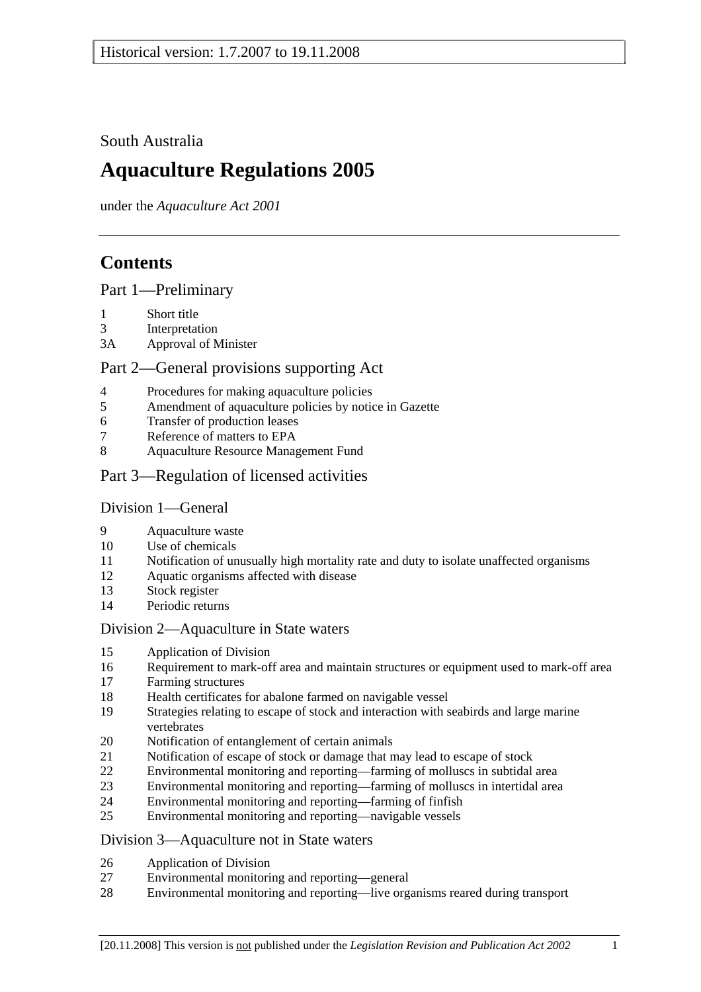South Australia

# **Aquaculture Regulations 2005**

under the *Aquaculture Act 2001*

# **Contents**

Part 1—Preliminary

- 1 Short title
- 3 Interpretation
- 3A Approval of Minister

## Part 2—General provisions supporting Act

- 4 Procedures for making aquaculture policies
- 5 Amendment of aquaculture policies by notice in Gazette
- 6 Transfer of production leases
- 7 Reference of matters to EPA
- 8 Aquaculture Resource Management Fund
- Part 3—Regulation of licensed activities

## Division 1—General

- 9 Aquaculture waste
- 10 Use of chemicals
- 11 Notification of unusually high mortality rate and duty to isolate unaffected organisms
- 12 Aquatic organisms affected with disease
- 13 Stock register
- 14 Periodic returns

## Division 2—Aquaculture in State waters

- 15 Application of Division
- 16 Requirement to mark-off area and maintain structures or equipment used to mark-off area
- 17 Farming structures
- 18 Health certificates for abalone farmed on navigable vessel
- 19 Strategies relating to escape of stock and interaction with seabirds and large marine vertebrates
- 20 Notification of entanglement of certain animals
- 21 Notification of escape of stock or damage that may lead to escape of stock
- 22 Environmental monitoring and reporting—farming of molluscs in subtidal area
- 23 Environmental monitoring and reporting—farming of molluscs in intertidal area
- 24 Environmental monitoring and reporting—farming of finfish
- 25 Environmental monitoring and reporting—navigable vessels

## Division 3—Aquaculture not in State waters

- 26 Application of Division
- 27 Environmental monitoring and reporting—general
- 28 Environmental monitoring and reporting—live organisms reared during transport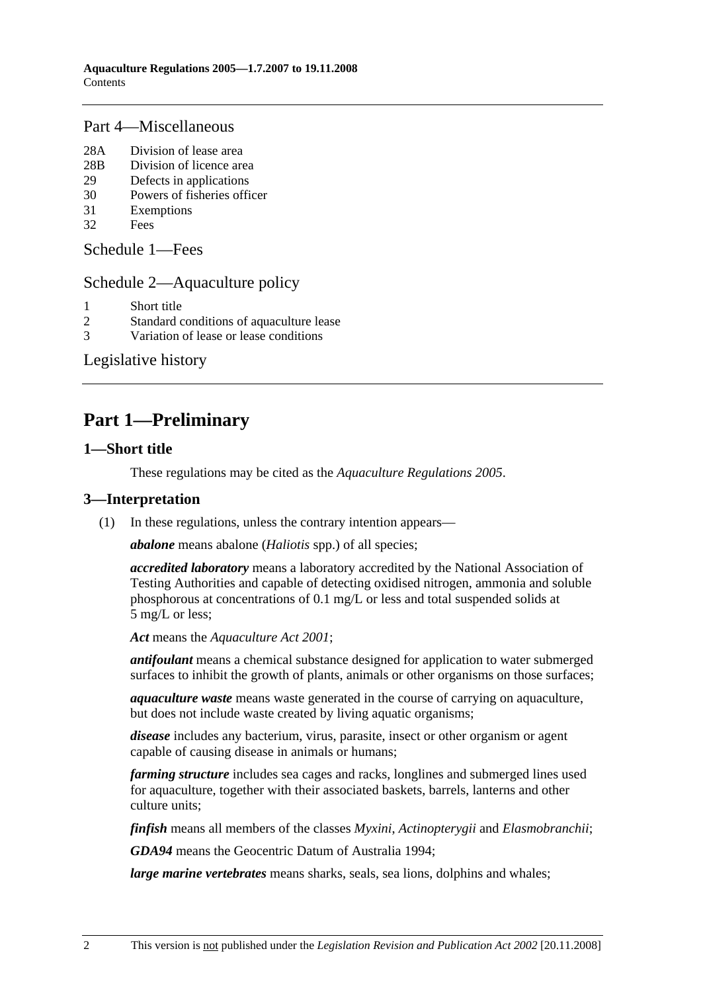## Part 4—Miscellaneous

- 28A Division of lease area
- 28B Division of licence area
- 29 Defects in applications
- 30 Powers of fisheries officer
- 31 Exemptions
- 32 Fees

Schedule 1—Fees

## Schedule 2—Aquaculture policy

- 1 Short title
- 2 Standard conditions of aquaculture lease
- 3 Variation of lease or lease conditions

Legislative history

# **Part 1—Preliminary**

### **1—Short title**

These regulations may be cited as the *Aquaculture Regulations 2005*.

## **3—Interpretation**

(1) In these regulations, unless the contrary intention appears—

*abalone* means abalone (*Haliotis* spp.) of all species;

*accredited laboratory* means a laboratory accredited by the National Association of Testing Authorities and capable of detecting oxidised nitrogen, ammonia and soluble phosphorous at concentrations of 0.1 mg/L or less and total suspended solids at 5 mg/L or less;

*Act* means the *Aquaculture Act 2001*;

*antifoulant* means a chemical substance designed for application to water submerged surfaces to inhibit the growth of plants, animals or other organisms on those surfaces;

*aquaculture waste* means waste generated in the course of carrying on aquaculture, but does not include waste created by living aquatic organisms;

*disease* includes any bacterium, virus, parasite, insect or other organism or agent capable of causing disease in animals or humans;

*farming structure* includes sea cages and racks, longlines and submerged lines used for aquaculture, together with their associated baskets, barrels, lanterns and other culture units;

*finfish* means all members of the classes *Myxini*, *Actinopterygii* and *Elasmobranchii*;

*GDA94* means the Geocentric Datum of Australia 1994;

*large marine vertebrates* means sharks, seals, sea lions, dolphins and whales;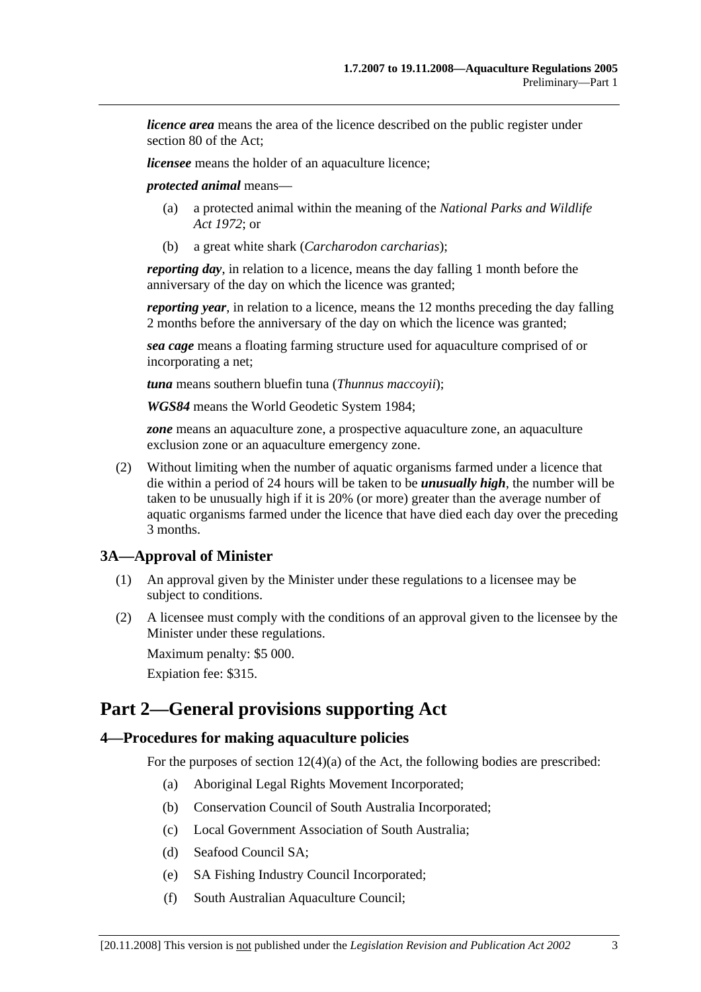*licence area* means the area of the licence described on the public register under section 80 of the Act;

*licensee* means the holder of an aquaculture licence;

*protected animal* means—

- (a) a protected animal within the meaning of the *National Parks and Wildlife Act 1972*; or
- (b) a great white shark (*Carcharodon carcharias*);

*reporting day*, in relation to a licence, means the day falling 1 month before the anniversary of the day on which the licence was granted;

*reporting year*, in relation to a licence, means the 12 months preceding the day falling 2 months before the anniversary of the day on which the licence was granted;

*sea cage* means a floating farming structure used for aquaculture comprised of or incorporating a net;

*tuna* means southern bluefin tuna (*Thunnus maccoyii*);

*WGS84* means the World Geodetic System 1984;

*zone* means an aquaculture zone, a prospective aquaculture zone, an aquaculture exclusion zone or an aquaculture emergency zone.

 (2) Without limiting when the number of aquatic organisms farmed under a licence that die within a period of 24 hours will be taken to be *unusually high*, the number will be taken to be unusually high if it is 20% (or more) greater than the average number of aquatic organisms farmed under the licence that have died each day over the preceding 3 months.

## **3A—Approval of Minister**

- (1) An approval given by the Minister under these regulations to a licensee may be subject to conditions.
- (2) A licensee must comply with the conditions of an approval given to the licensee by the Minister under these regulations.

Maximum penalty: \$5 000.

Expiation fee: \$315.

## **Part 2—General provisions supporting Act**

#### **4—Procedures for making aquaculture policies**

For the purposes of section 12(4)(a) of the Act, the following bodies are prescribed:

- (a) Aboriginal Legal Rights Movement Incorporated;
- (b) Conservation Council of South Australia Incorporated;
- (c) Local Government Association of South Australia;
- (d) Seafood Council SA;
- (e) SA Fishing Industry Council Incorporated;
- (f) South Australian Aquaculture Council;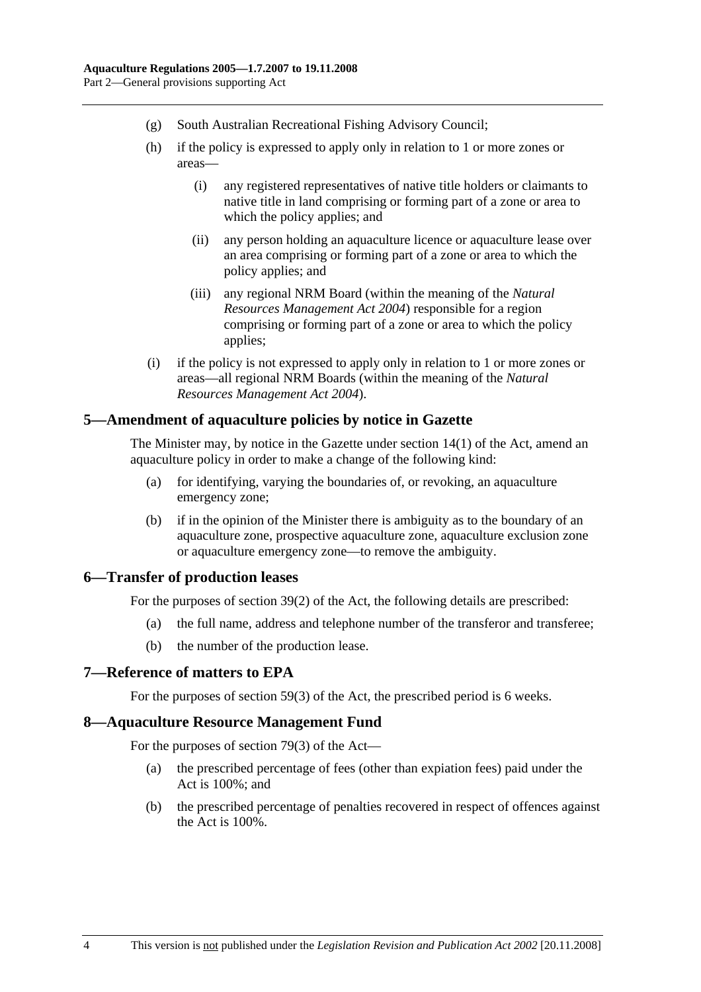- (g) South Australian Recreational Fishing Advisory Council;
- (h) if the policy is expressed to apply only in relation to 1 or more zones or areas—
	- (i) any registered representatives of native title holders or claimants to native title in land comprising or forming part of a zone or area to which the policy applies; and
	- (ii) any person holding an aquaculture licence or aquaculture lease over an area comprising or forming part of a zone or area to which the policy applies; and
	- (iii) any regional NRM Board (within the meaning of the *Natural Resources Management Act 2004*) responsible for a region comprising or forming part of a zone or area to which the policy applies;
- (i) if the policy is not expressed to apply only in relation to 1 or more zones or areas—all regional NRM Boards (within the meaning of the *Natural Resources Management Act 2004*).

### **5—Amendment of aquaculture policies by notice in Gazette**

The Minister may, by notice in the Gazette under section 14(1) of the Act, amend an aquaculture policy in order to make a change of the following kind:

- (a) for identifying, varying the boundaries of, or revoking, an aquaculture emergency zone;
- (b) if in the opinion of the Minister there is ambiguity as to the boundary of an aquaculture zone, prospective aquaculture zone, aquaculture exclusion zone or aquaculture emergency zone—to remove the ambiguity.

## **6—Transfer of production leases**

For the purposes of section 39(2) of the Act, the following details are prescribed:

- (a) the full name, address and telephone number of the transferor and transferee;
- (b) the number of the production lease.

## **7—Reference of matters to EPA**

For the purposes of section 59(3) of the Act, the prescribed period is 6 weeks.

#### **8—Aquaculture Resource Management Fund**

For the purposes of section 79(3) of the Act—

- (a) the prescribed percentage of fees (other than expiation fees) paid under the Act is 100%; and
- (b) the prescribed percentage of penalties recovered in respect of offences against the Act is 100%.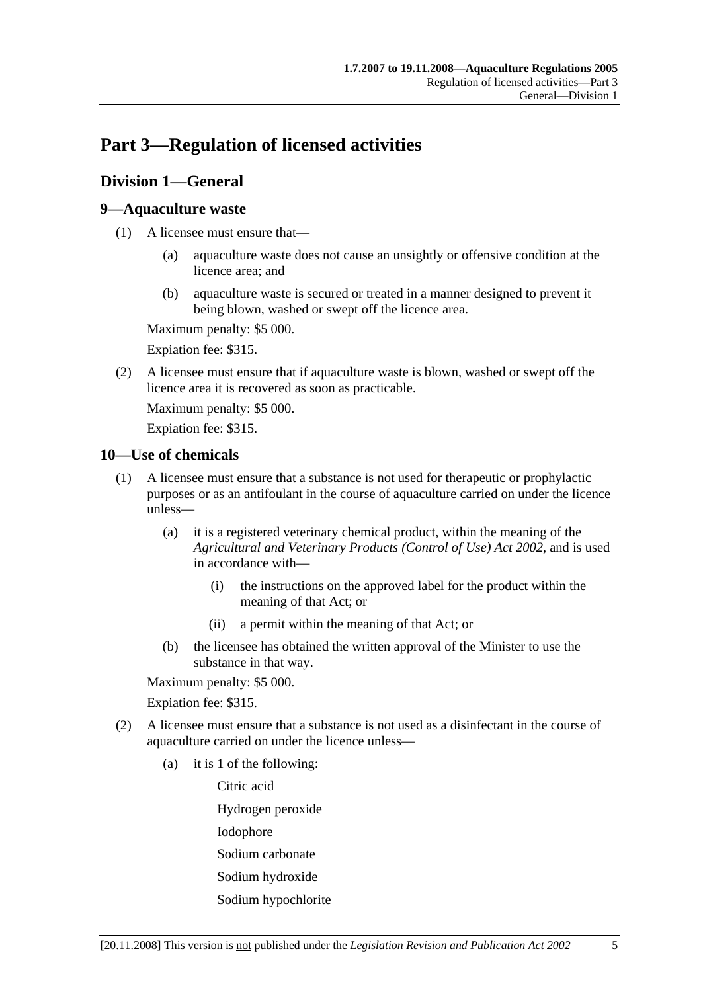# **Part 3—Regulation of licensed activities**

## **Division 1—General**

## **9—Aquaculture waste**

- (1) A licensee must ensure that—
	- (a) aquaculture waste does not cause an unsightly or offensive condition at the licence area; and
	- (b) aquaculture waste is secured or treated in a manner designed to prevent it being blown, washed or swept off the licence area.

Maximum penalty: \$5 000.

Expiation fee: \$315.

 (2) A licensee must ensure that if aquaculture waste is blown, washed or swept off the licence area it is recovered as soon as practicable.

Maximum penalty: \$5 000.

Expiation fee: \$315.

## **10—Use of chemicals**

- (1) A licensee must ensure that a substance is not used for therapeutic or prophylactic purposes or as an antifoulant in the course of aquaculture carried on under the licence unless—
	- (a) it is a registered veterinary chemical product, within the meaning of the *Agricultural and Veterinary Products (Control of Use) Act 2002*, and is used in accordance with—
		- (i) the instructions on the approved label for the product within the meaning of that Act; or
		- (ii) a permit within the meaning of that Act; or
	- (b) the licensee has obtained the written approval of the Minister to use the substance in that way.

Maximum penalty: \$5 000.

Expiation fee: \$315.

- (2) A licensee must ensure that a substance is not used as a disinfectant in the course of aquaculture carried on under the licence unless—
	- (a) it is 1 of the following:

Citric acid

Hydrogen peroxide

Iodophore

- Sodium carbonate
- Sodium hydroxide
- Sodium hypochlorite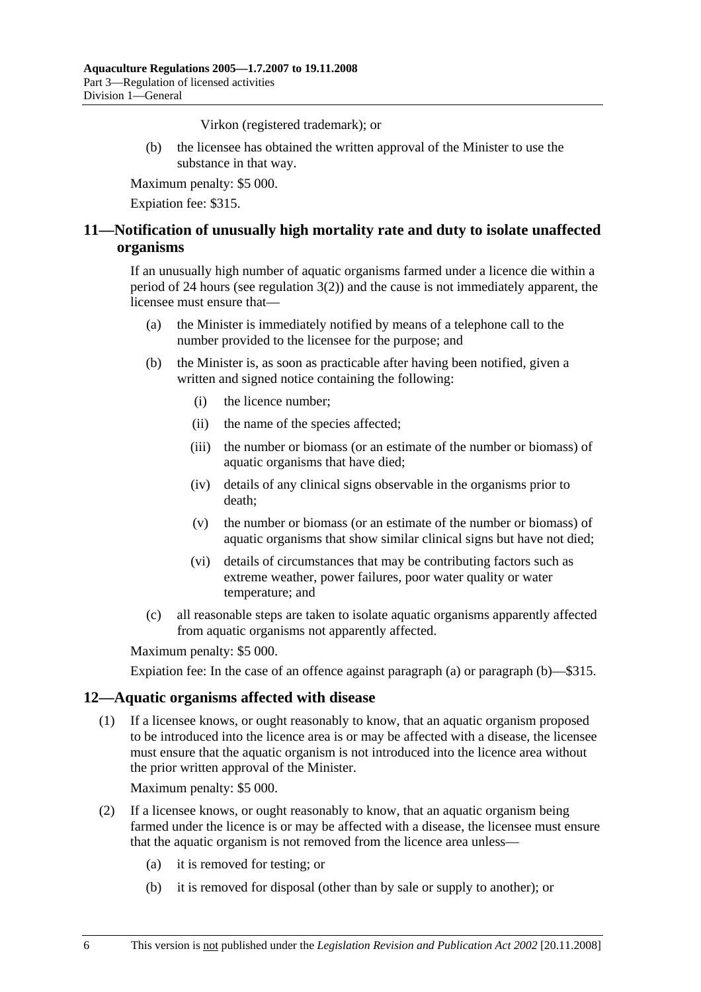Virkon (registered trademark); or

 (b) the licensee has obtained the written approval of the Minister to use the substance in that way.

Maximum penalty: \$5 000.

Expiation fee: \$315.

## **11—Notification of unusually high mortality rate and duty to isolate unaffected organisms**

If an unusually high number of aquatic organisms farmed under a licence die within a period of 24 hours (see regulation 3(2)) and the cause is not immediately apparent, the licensee must ensure that—

- (a) the Minister is immediately notified by means of a telephone call to the number provided to the licensee for the purpose; and
- (b) the Minister is, as soon as practicable after having been notified, given a written and signed notice containing the following:
	- (i) the licence number;
	- (ii) the name of the species affected;
	- (iii) the number or biomass (or an estimate of the number or biomass) of aquatic organisms that have died;
	- (iv) details of any clinical signs observable in the organisms prior to death;
	- (v) the number or biomass (or an estimate of the number or biomass) of aquatic organisms that show similar clinical signs but have not died;
	- (vi) details of circumstances that may be contributing factors such as extreme weather, power failures, poor water quality or water temperature; and
- (c) all reasonable steps are taken to isolate aquatic organisms apparently affected from aquatic organisms not apparently affected.

Maximum penalty: \$5 000.

Expiation fee: In the case of an offence against paragraph (a) or paragraph (b)—\$315.

## **12—Aquatic organisms affected with disease**

 (1) If a licensee knows, or ought reasonably to know, that an aquatic organism proposed to be introduced into the licence area is or may be affected with a disease, the licensee must ensure that the aquatic organism is not introduced into the licence area without the prior written approval of the Minister.

Maximum penalty: \$5 000.

- (2) If a licensee knows, or ought reasonably to know, that an aquatic organism being farmed under the licence is or may be affected with a disease, the licensee must ensure that the aquatic organism is not removed from the licence area unless—
	- (a) it is removed for testing; or
	- (b) it is removed for disposal (other than by sale or supply to another); or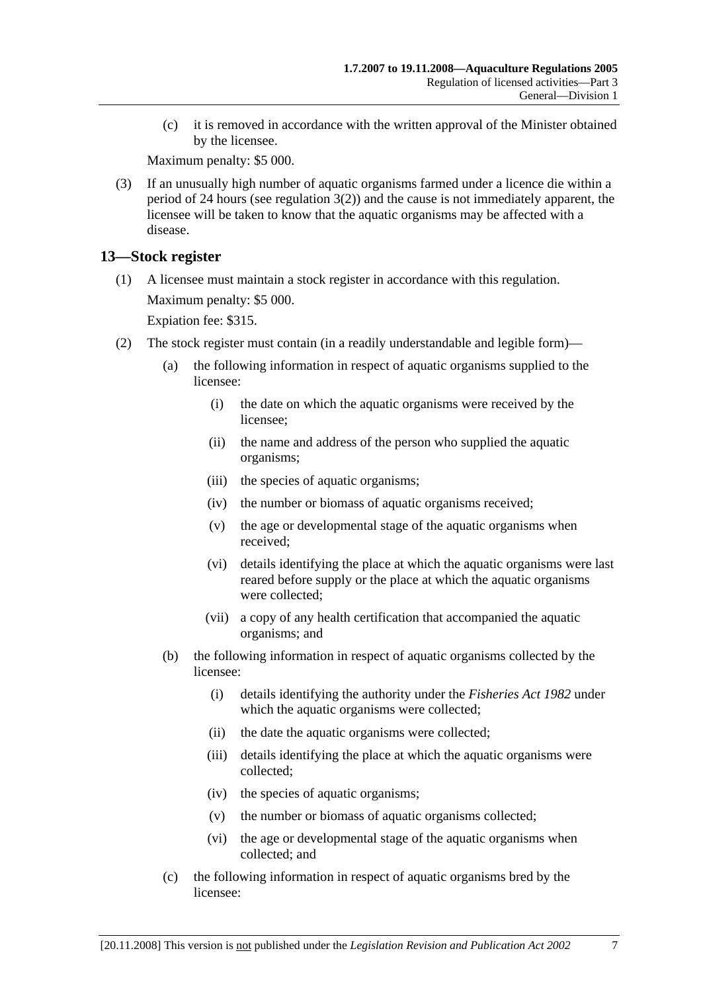(c) it is removed in accordance with the written approval of the Minister obtained by the licensee.

Maximum penalty: \$5 000.

 (3) If an unusually high number of aquatic organisms farmed under a licence die within a period of 24 hours (see regulation 3(2)) and the cause is not immediately apparent, the licensee will be taken to know that the aquatic organisms may be affected with a disease.

## **13—Stock register**

 (1) A licensee must maintain a stock register in accordance with this regulation. Maximum penalty: \$5 000.

Expiation fee: \$315.

- (2) The stock register must contain (in a readily understandable and legible form)—
	- (a) the following information in respect of aquatic organisms supplied to the licensee:
		- (i) the date on which the aquatic organisms were received by the licensee;
		- (ii) the name and address of the person who supplied the aquatic organisms;
		- (iii) the species of aquatic organisms;
		- (iv) the number or biomass of aquatic organisms received;
		- (v) the age or developmental stage of the aquatic organisms when received;
		- (vi) details identifying the place at which the aquatic organisms were last reared before supply or the place at which the aquatic organisms were collected;
		- (vii) a copy of any health certification that accompanied the aquatic organisms; and
	- (b) the following information in respect of aquatic organisms collected by the licensee:
		- (i) details identifying the authority under the *Fisheries Act 1982* under which the aquatic organisms were collected;
		- (ii) the date the aquatic organisms were collected;
		- (iii) details identifying the place at which the aquatic organisms were collected;
		- (iv) the species of aquatic organisms;
		- (v) the number or biomass of aquatic organisms collected;
		- (vi) the age or developmental stage of the aquatic organisms when collected; and
	- (c) the following information in respect of aquatic organisms bred by the licensee: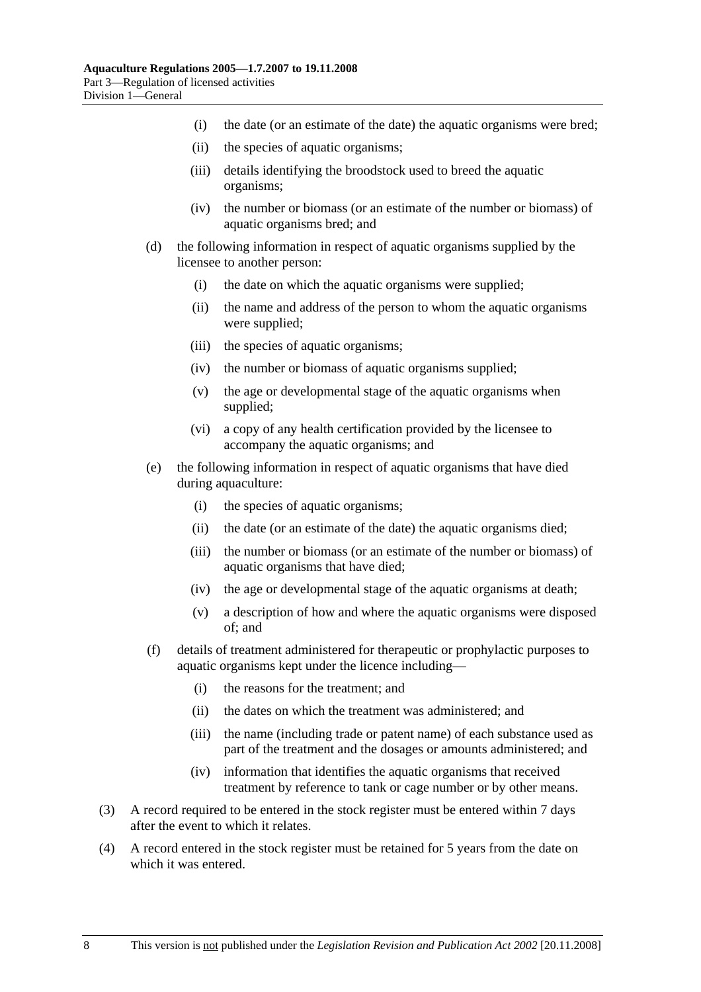- (i) the date (or an estimate of the date) the aquatic organisms were bred;
- (ii) the species of aquatic organisms;
- (iii) details identifying the broodstock used to breed the aquatic organisms;
- (iv) the number or biomass (or an estimate of the number or biomass) of aquatic organisms bred; and
- (d) the following information in respect of aquatic organisms supplied by the licensee to another person:
	- (i) the date on which the aquatic organisms were supplied;
	- (ii) the name and address of the person to whom the aquatic organisms were supplied;
	- (iii) the species of aquatic organisms;
	- (iv) the number or biomass of aquatic organisms supplied;
	- (v) the age or developmental stage of the aquatic organisms when supplied;
	- (vi) a copy of any health certification provided by the licensee to accompany the aquatic organisms; and
- (e) the following information in respect of aquatic organisms that have died during aquaculture:
	- (i) the species of aquatic organisms;
	- (ii) the date (or an estimate of the date) the aquatic organisms died;
	- (iii) the number or biomass (or an estimate of the number or biomass) of aquatic organisms that have died;
	- (iv) the age or developmental stage of the aquatic organisms at death;
	- (v) a description of how and where the aquatic organisms were disposed of; and
- (f) details of treatment administered for therapeutic or prophylactic purposes to aquatic organisms kept under the licence including—
	- (i) the reasons for the treatment; and
	- (ii) the dates on which the treatment was administered; and
	- (iii) the name (including trade or patent name) of each substance used as part of the treatment and the dosages or amounts administered; and
	- (iv) information that identifies the aquatic organisms that received treatment by reference to tank or cage number or by other means.
- (3) A record required to be entered in the stock register must be entered within 7 days after the event to which it relates.
- (4) A record entered in the stock register must be retained for 5 years from the date on which it was entered.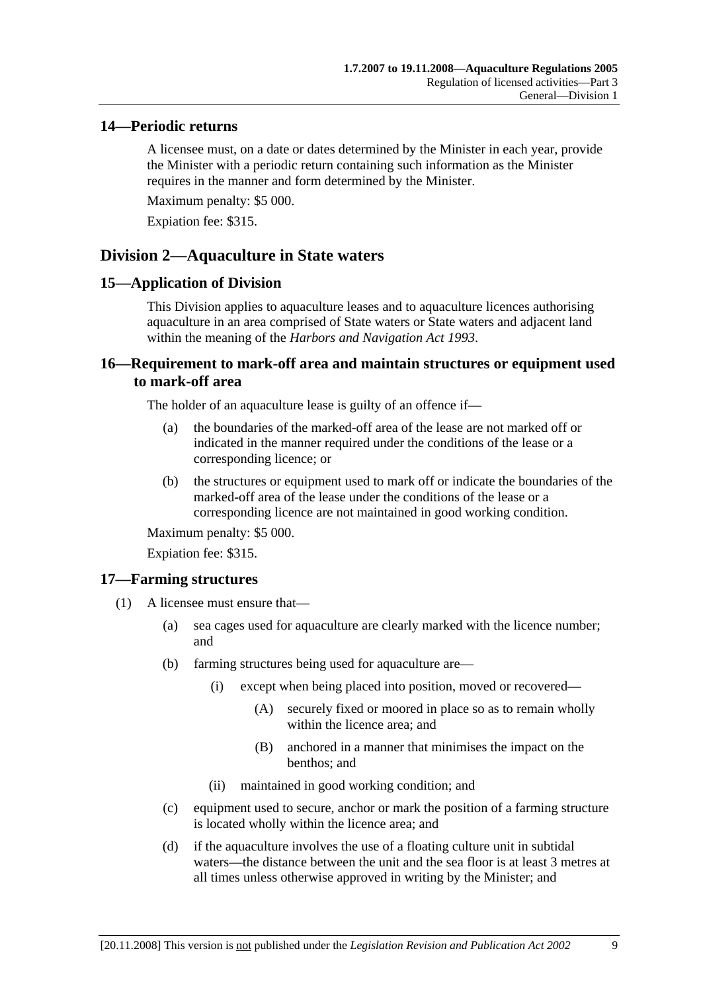## **14—Periodic returns**

A licensee must, on a date or dates determined by the Minister in each year, provide the Minister with a periodic return containing such information as the Minister requires in the manner and form determined by the Minister.

Maximum penalty: \$5 000.

Expiation fee: \$315.

## **Division 2—Aquaculture in State waters**

### **15—Application of Division**

This Division applies to aquaculture leases and to aquaculture licences authorising aquaculture in an area comprised of State waters or State waters and adjacent land within the meaning of the *Harbors and Navigation Act 1993*.

## **16—Requirement to mark-off area and maintain structures or equipment used to mark-off area**

The holder of an aquaculture lease is guilty of an offence if—

- (a) the boundaries of the marked-off area of the lease are not marked off or indicated in the manner required under the conditions of the lease or a corresponding licence; or
- (b) the structures or equipment used to mark off or indicate the boundaries of the marked-off area of the lease under the conditions of the lease or a corresponding licence are not maintained in good working condition.

Maximum penalty: \$5 000.

Expiation fee: \$315.

## **17—Farming structures**

- (1) A licensee must ensure that—
	- (a) sea cages used for aquaculture are clearly marked with the licence number; and
	- (b) farming structures being used for aquaculture are—
		- (i) except when being placed into position, moved or recovered—
			- (A) securely fixed or moored in place so as to remain wholly within the licence area; and
			- (B) anchored in a manner that minimises the impact on the benthos; and
		- (ii) maintained in good working condition; and
	- (c) equipment used to secure, anchor or mark the position of a farming structure is located wholly within the licence area; and
	- (d) if the aquaculture involves the use of a floating culture unit in subtidal waters—the distance between the unit and the sea floor is at least 3 metres at all times unless otherwise approved in writing by the Minister; and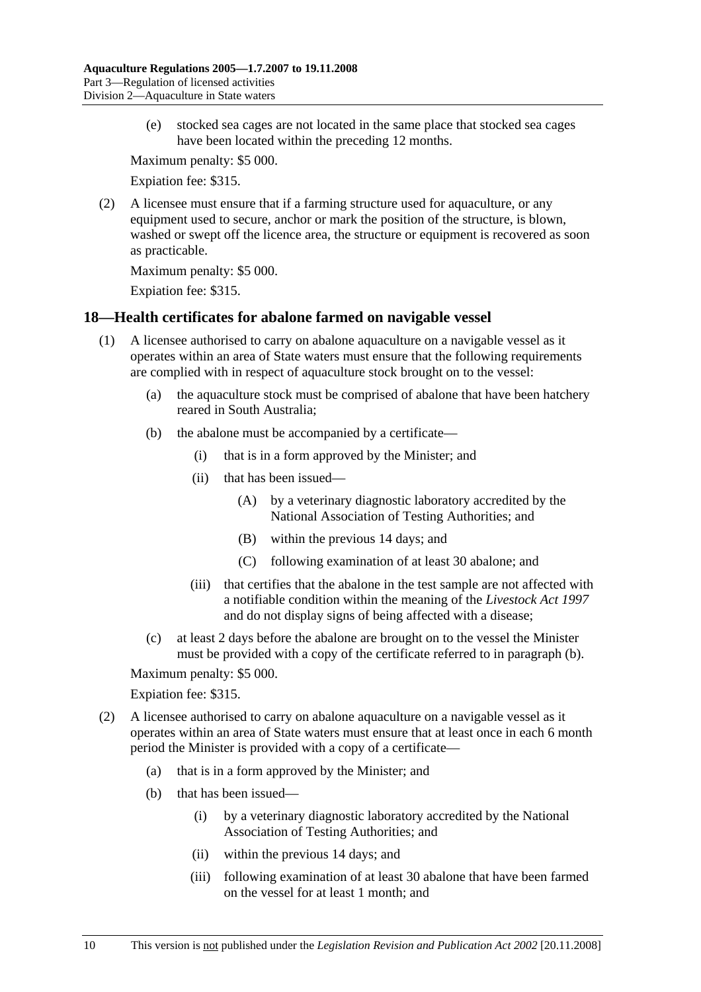(e) stocked sea cages are not located in the same place that stocked sea cages have been located within the preceding 12 months.

Maximum penalty: \$5 000.

Expiation fee: \$315.

 (2) A licensee must ensure that if a farming structure used for aquaculture, or any equipment used to secure, anchor or mark the position of the structure, is blown, washed or swept off the licence area, the structure or equipment is recovered as soon as practicable.

Maximum penalty: \$5 000.

Expiation fee: \$315.

## **18—Health certificates for abalone farmed on navigable vessel**

- (1) A licensee authorised to carry on abalone aquaculture on a navigable vessel as it operates within an area of State waters must ensure that the following requirements are complied with in respect of aquaculture stock brought on to the vessel:
	- (a) the aquaculture stock must be comprised of abalone that have been hatchery reared in South Australia;
	- (b) the abalone must be accompanied by a certificate—
		- (i) that is in a form approved by the Minister; and
		- (ii) that has been issued—
			- (A) by a veterinary diagnostic laboratory accredited by the National Association of Testing Authorities; and
			- (B) within the previous 14 days; and
			- (C) following examination of at least 30 abalone; and
		- (iii) that certifies that the abalone in the test sample are not affected with a notifiable condition within the meaning of the *Livestock Act 1997* and do not display signs of being affected with a disease;
	- (c) at least 2 days before the abalone are brought on to the vessel the Minister must be provided with a copy of the certificate referred to in paragraph (b).

Maximum penalty: \$5 000.

#### Expiation fee: \$315.

- (2) A licensee authorised to carry on abalone aquaculture on a navigable vessel as it operates within an area of State waters must ensure that at least once in each 6 month period the Minister is provided with a copy of a certificate—
	- (a) that is in a form approved by the Minister; and
	- (b) that has been issued—
		- (i) by a veterinary diagnostic laboratory accredited by the National Association of Testing Authorities; and
		- (ii) within the previous 14 days; and
		- (iii) following examination of at least 30 abalone that have been farmed on the vessel for at least 1 month; and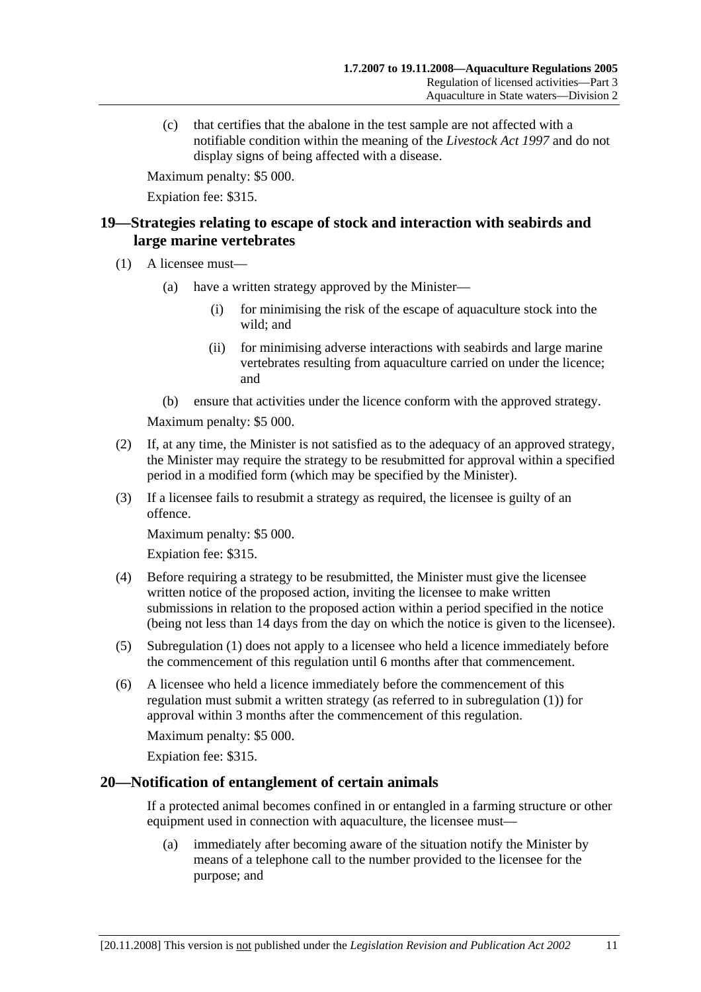(c) that certifies that the abalone in the test sample are not affected with a notifiable condition within the meaning of the *Livestock Act 1997* and do not display signs of being affected with a disease.

Maximum penalty: \$5 000.

Expiation fee: \$315.

## **19—Strategies relating to escape of stock and interaction with seabirds and large marine vertebrates**

- (1) A licensee must—
	- (a) have a written strategy approved by the Minister—
		- (i) for minimising the risk of the escape of aquaculture stock into the wild; and
		- (ii) for minimising adverse interactions with seabirds and large marine vertebrates resulting from aquaculture carried on under the licence; and
	- (b) ensure that activities under the licence conform with the approved strategy.

Maximum penalty: \$5 000.

- (2) If, at any time, the Minister is not satisfied as to the adequacy of an approved strategy, the Minister may require the strategy to be resubmitted for approval within a specified period in a modified form (which may be specified by the Minister).
- (3) If a licensee fails to resubmit a strategy as required, the licensee is guilty of an offence.

Maximum penalty: \$5 000.

Expiation fee: \$315.

- (4) Before requiring a strategy to be resubmitted, the Minister must give the licensee written notice of the proposed action, inviting the licensee to make written submissions in relation to the proposed action within a period specified in the notice (being not less than 14 days from the day on which the notice is given to the licensee).
- (5) Subregulation (1) does not apply to a licensee who held a licence immediately before the commencement of this regulation until 6 months after that commencement.
- (6) A licensee who held a licence immediately before the commencement of this regulation must submit a written strategy (as referred to in subregulation (1)) for approval within 3 months after the commencement of this regulation.

Maximum penalty: \$5 000.

Expiation fee: \$315.

#### **20—Notification of entanglement of certain animals**

If a protected animal becomes confined in or entangled in a farming structure or other equipment used in connection with aquaculture, the licensee must—

 (a) immediately after becoming aware of the situation notify the Minister by means of a telephone call to the number provided to the licensee for the purpose; and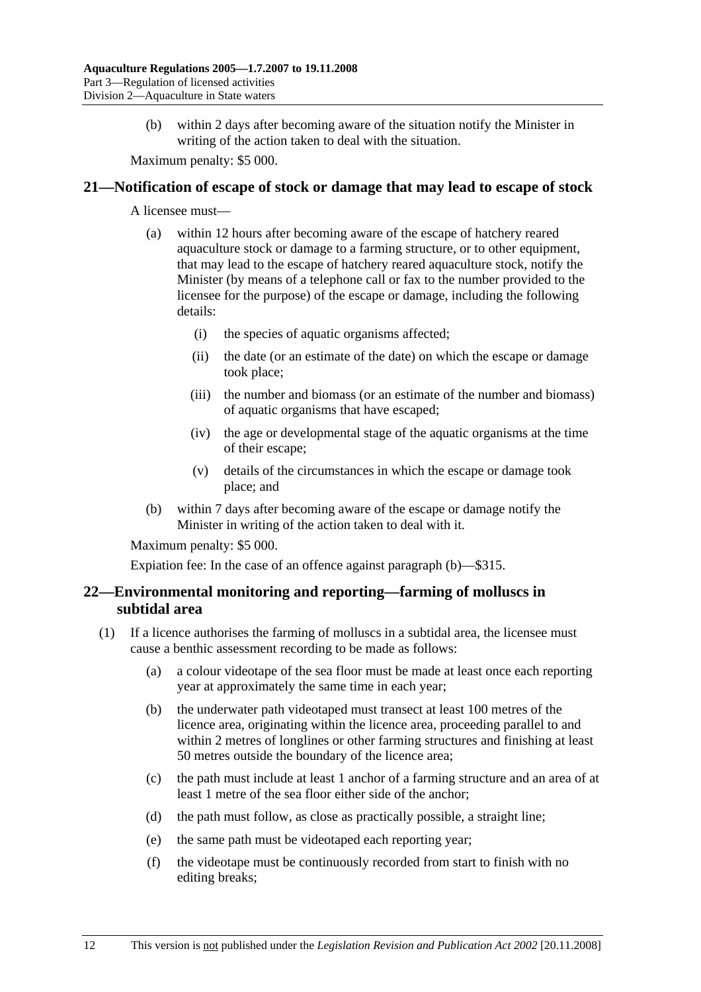(b) within 2 days after becoming aware of the situation notify the Minister in writing of the action taken to deal with the situation.

Maximum penalty: \$5 000.

#### **21—Notification of escape of stock or damage that may lead to escape of stock**

A licensee must—

- (a) within 12 hours after becoming aware of the escape of hatchery reared aquaculture stock or damage to a farming structure, or to other equipment, that may lead to the escape of hatchery reared aquaculture stock, notify the Minister (by means of a telephone call or fax to the number provided to the licensee for the purpose) of the escape or damage, including the following details:
	- (i) the species of aquatic organisms affected;
	- (ii) the date (or an estimate of the date) on which the escape or damage took place;
	- (iii) the number and biomass (or an estimate of the number and biomass) of aquatic organisms that have escaped;
	- (iv) the age or developmental stage of the aquatic organisms at the time of their escape;
	- (v) details of the circumstances in which the escape or damage took place; and
- (b) within 7 days after becoming aware of the escape or damage notify the Minister in writing of the action taken to deal with it.

Maximum penalty: \$5 000.

Expiation fee: In the case of an offence against paragraph (b)—\$315.

## **22—Environmental monitoring and reporting—farming of molluscs in subtidal area**

- (1) If a licence authorises the farming of molluscs in a subtidal area, the licensee must cause a benthic assessment recording to be made as follows:
	- (a) a colour videotape of the sea floor must be made at least once each reporting year at approximately the same time in each year;
	- (b) the underwater path videotaped must transect at least 100 metres of the licence area, originating within the licence area, proceeding parallel to and within 2 metres of longlines or other farming structures and finishing at least 50 metres outside the boundary of the licence area;
	- (c) the path must include at least 1 anchor of a farming structure and an area of at least 1 metre of the sea floor either side of the anchor;
	- (d) the path must follow, as close as practically possible, a straight line;
	- (e) the same path must be videotaped each reporting year;
	- (f) the videotape must be continuously recorded from start to finish with no editing breaks;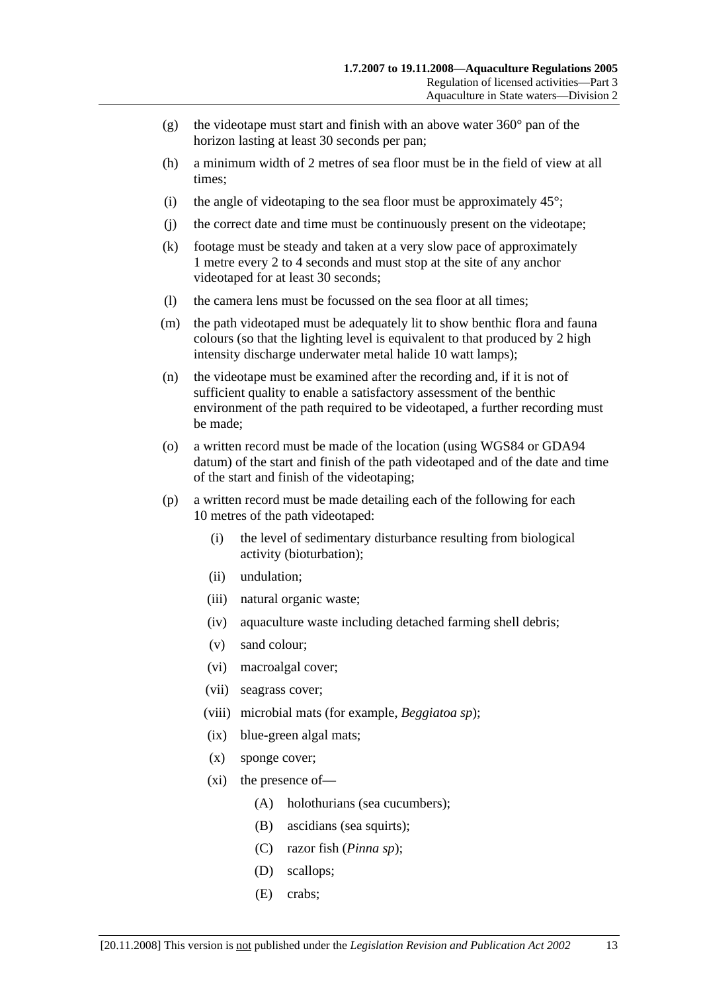- (g) the videotape must start and finish with an above water  $360^{\circ}$  pan of the horizon lasting at least 30 seconds per pan;
- (h) a minimum width of 2 metres of sea floor must be in the field of view at all times;
- (i) the angle of videotaping to the sea floor must be approximately  $45^\circ$ ;
- (j) the correct date and time must be continuously present on the videotape;
- (k) footage must be steady and taken at a very slow pace of approximately 1 metre every 2 to 4 seconds and must stop at the site of any anchor videotaped for at least 30 seconds;
- (l) the camera lens must be focussed on the sea floor at all times;
- (m) the path videotaped must be adequately lit to show benthic flora and fauna colours (so that the lighting level is equivalent to that produced by 2 high intensity discharge underwater metal halide 10 watt lamps);
- (n) the videotape must be examined after the recording and, if it is not of sufficient quality to enable a satisfactory assessment of the benthic environment of the path required to be videotaped, a further recording must be made;
- (o) a written record must be made of the location (using WGS84 or GDA94 datum) of the start and finish of the path videotaped and of the date and time of the start and finish of the videotaping;
- (p) a written record must be made detailing each of the following for each 10 metres of the path videotaped:
	- (i) the level of sedimentary disturbance resulting from biological activity (bioturbation);
	- (ii) undulation;
	- (iii) natural organic waste;
	- (iv) aquaculture waste including detached farming shell debris;
	- (v) sand colour;
	- (vi) macroalgal cover;
	- (vii) seagrass cover;
	- (viii) microbial mats (for example, *Beggiatoa sp*);
	- (ix) blue-green algal mats;
	- (x) sponge cover;
	- (xi) the presence of—
		- (A) holothurians (sea cucumbers);
		- (B) ascidians (sea squirts);
		- (C) razor fish (*Pinna sp*);
		- (D) scallops;
		- (E) crabs;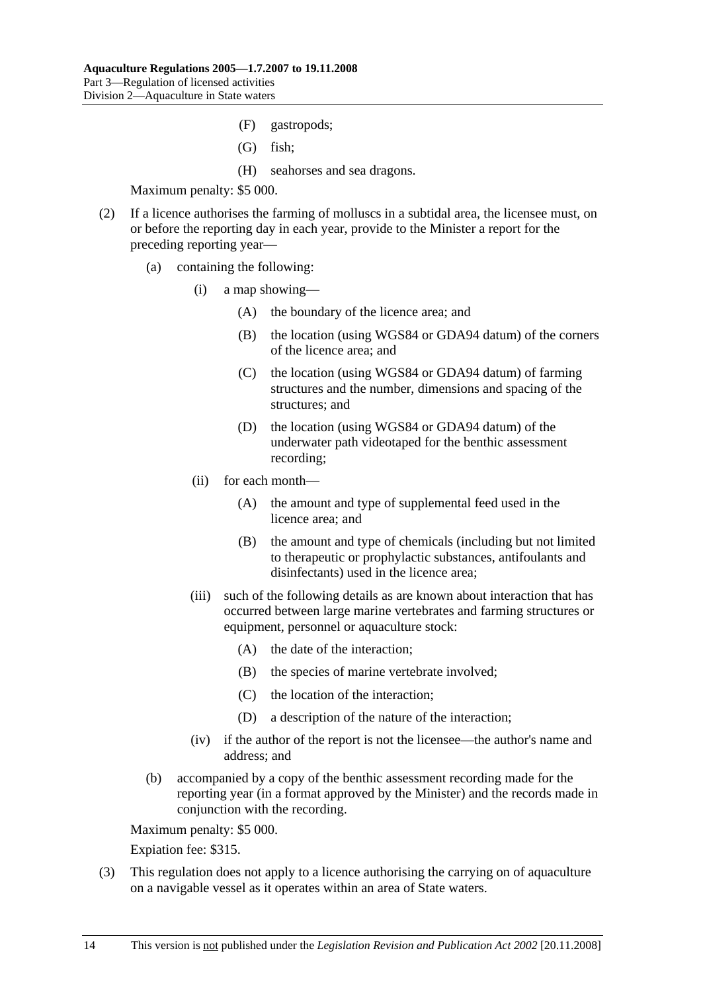- (F) gastropods;
- (G) fish;
- (H) seahorses and sea dragons.

- (2) If a licence authorises the farming of molluscs in a subtidal area, the licensee must, on or before the reporting day in each year, provide to the Minister a report for the preceding reporting year—
	- (a) containing the following:
		- (i) a map showing—
			- (A) the boundary of the licence area; and
			- (B) the location (using WGS84 or GDA94 datum) of the corners of the licence area; and
			- (C) the location (using WGS84 or GDA94 datum) of farming structures and the number, dimensions and spacing of the structures; and
			- (D) the location (using WGS84 or GDA94 datum) of the underwater path videotaped for the benthic assessment recording;
		- (ii) for each month—
			- (A) the amount and type of supplemental feed used in the licence area; and
			- (B) the amount and type of chemicals (including but not limited to therapeutic or prophylactic substances, antifoulants and disinfectants) used in the licence area;
		- (iii) such of the following details as are known about interaction that has occurred between large marine vertebrates and farming structures or equipment, personnel or aquaculture stock:
			- (A) the date of the interaction;
			- (B) the species of marine vertebrate involved;
			- (C) the location of the interaction;
			- (D) a description of the nature of the interaction;
		- (iv) if the author of the report is not the licensee—the author's name and address; and
	- (b) accompanied by a copy of the benthic assessment recording made for the reporting year (in a format approved by the Minister) and the records made in conjunction with the recording.

Maximum penalty: \$5 000.

Expiation fee: \$315.

 (3) This regulation does not apply to a licence authorising the carrying on of aquaculture on a navigable vessel as it operates within an area of State waters.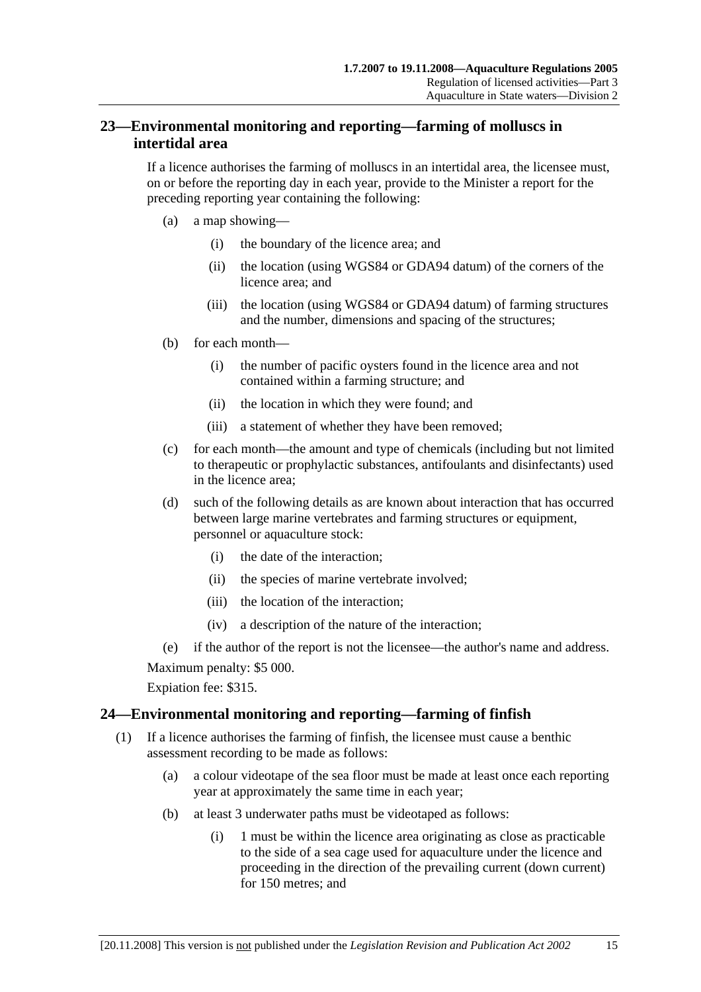## **23—Environmental monitoring and reporting—farming of molluscs in intertidal area**

If a licence authorises the farming of molluscs in an intertidal area, the licensee must, on or before the reporting day in each year, provide to the Minister a report for the preceding reporting year containing the following:

- (a) a map showing—
	- (i) the boundary of the licence area; and
	- (ii) the location (using WGS84 or GDA94 datum) of the corners of the licence area; and
	- (iii) the location (using WGS84 or GDA94 datum) of farming structures and the number, dimensions and spacing of the structures;
- (b) for each month—
	- (i) the number of pacific oysters found in the licence area and not contained within a farming structure; and
	- (ii) the location in which they were found; and
	- (iii) a statement of whether they have been removed;
- (c) for each month—the amount and type of chemicals (including but not limited to therapeutic or prophylactic substances, antifoulants and disinfectants) used in the licence area;
- (d) such of the following details as are known about interaction that has occurred between large marine vertebrates and farming structures or equipment, personnel or aquaculture stock:
	- (i) the date of the interaction;
	- (ii) the species of marine vertebrate involved;
	- (iii) the location of the interaction;
	- (iv) a description of the nature of the interaction;

(e) if the author of the report is not the licensee—the author's name and address.

Maximum penalty: \$5 000.

Expiation fee: \$315.

## **24—Environmental monitoring and reporting—farming of finfish**

- (1) If a licence authorises the farming of finfish, the licensee must cause a benthic assessment recording to be made as follows:
	- (a) a colour videotape of the sea floor must be made at least once each reporting year at approximately the same time in each year;
	- (b) at least 3 underwater paths must be videotaped as follows:
		- (i) 1 must be within the licence area originating as close as practicable to the side of a sea cage used for aquaculture under the licence and proceeding in the direction of the prevailing current (down current) for 150 metres; and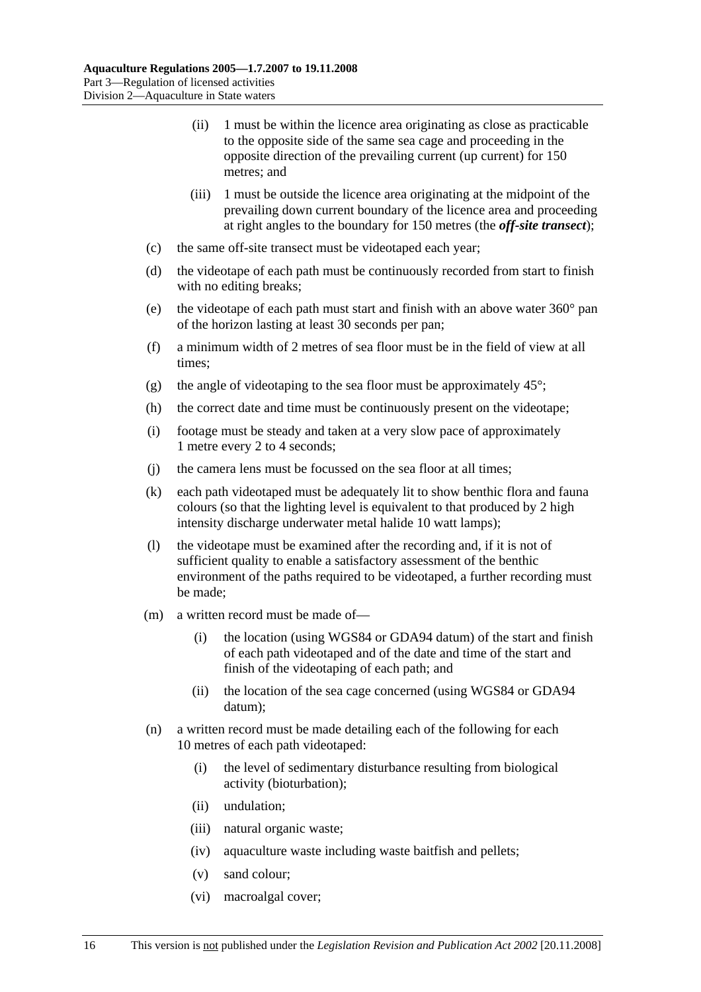- (ii) 1 must be within the licence area originating as close as practicable to the opposite side of the same sea cage and proceeding in the opposite direction of the prevailing current (up current) for 150 metres; and
- (iii) 1 must be outside the licence area originating at the midpoint of the prevailing down current boundary of the licence area and proceeding at right angles to the boundary for 150 metres (the *off-site transect*);
- (c) the same off-site transect must be videotaped each year;
- (d) the videotape of each path must be continuously recorded from start to finish with no editing breaks;
- (e) the videotape of each path must start and finish with an above water 360° pan of the horizon lasting at least 30 seconds per pan;
- (f) a minimum width of 2 metres of sea floor must be in the field of view at all times;
- (g) the angle of videotaping to the sea floor must be approximately  $45^{\circ}$ ;
- (h) the correct date and time must be continuously present on the videotape;
- (i) footage must be steady and taken at a very slow pace of approximately 1 metre every 2 to 4 seconds;
- (j) the camera lens must be focussed on the sea floor at all times;
- (k) each path videotaped must be adequately lit to show benthic flora and fauna colours (so that the lighting level is equivalent to that produced by 2 high intensity discharge underwater metal halide 10 watt lamps);
- (l) the videotape must be examined after the recording and, if it is not of sufficient quality to enable a satisfactory assessment of the benthic environment of the paths required to be videotaped, a further recording must be made;
- (m) a written record must be made of—
	- (i) the location (using WGS84 or GDA94 datum) of the start and finish of each path videotaped and of the date and time of the start and finish of the videotaping of each path; and
	- (ii) the location of the sea cage concerned (using WGS84 or GDA94 datum);
- (n) a written record must be made detailing each of the following for each 10 metres of each path videotaped:
	- (i) the level of sedimentary disturbance resulting from biological activity (bioturbation);
	- (ii) undulation;
	- (iii) natural organic waste;
	- (iv) aquaculture waste including waste baitfish and pellets;
	- (v) sand colour;
	- (vi) macroalgal cover;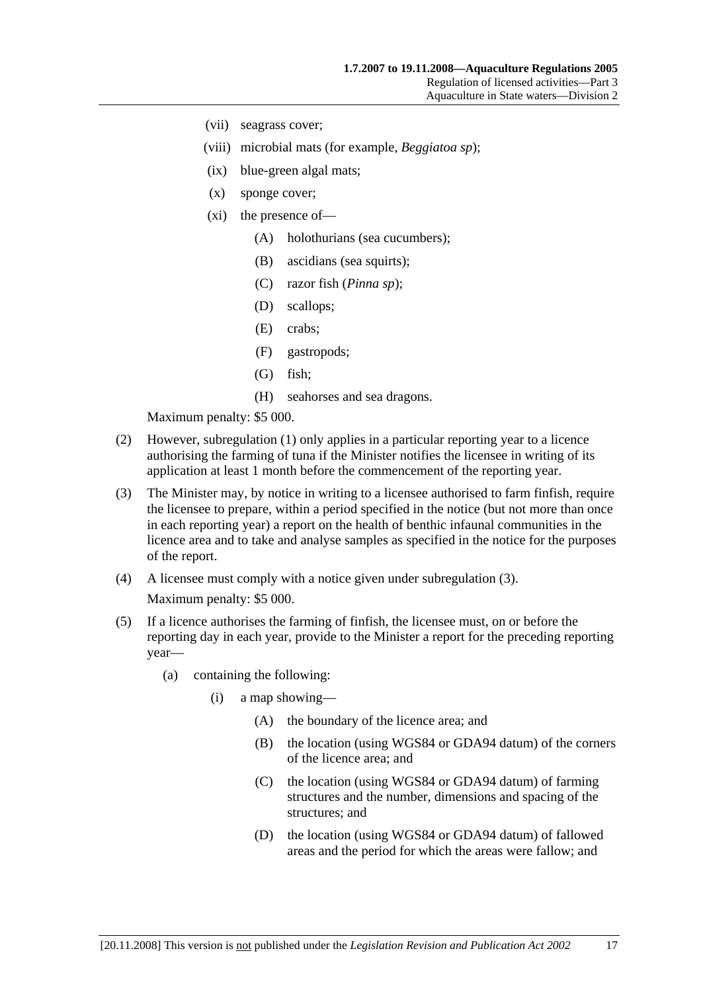- (vii) seagrass cover;
- (viii) microbial mats (for example, *Beggiatoa sp*);
- (ix) blue-green algal mats;
- (x) sponge cover;
- (xi) the presence of—
	- (A) holothurians (sea cucumbers);
	- (B) ascidians (sea squirts);
	- (C) razor fish (*Pinna sp*);
	- (D) scallops;
	- (E) crabs;
	- (F) gastropods;
	- (G) fish;
	- (H) seahorses and sea dragons.

- (2) However, subregulation (1) only applies in a particular reporting year to a licence authorising the farming of tuna if the Minister notifies the licensee in writing of its application at least 1 month before the commencement of the reporting year.
- (3) The Minister may, by notice in writing to a licensee authorised to farm finfish, require the licensee to prepare, within a period specified in the notice (but not more than once in each reporting year) a report on the health of benthic infaunal communities in the licence area and to take and analyse samples as specified in the notice for the purposes of the report.
- (4) A licensee must comply with a notice given under subregulation (3). Maximum penalty: \$5 000.
- (5) If a licence authorises the farming of finfish, the licensee must, on or before the reporting day in each year, provide to the Minister a report for the preceding reporting year—
	- (a) containing the following:
		- (i) a map showing—
			- (A) the boundary of the licence area; and
			- (B) the location (using WGS84 or GDA94 datum) of the corners of the licence area; and
			- (C) the location (using WGS84 or GDA94 datum) of farming structures and the number, dimensions and spacing of the structures; and
			- (D) the location (using WGS84 or GDA94 datum) of fallowed areas and the period for which the areas were fallow; and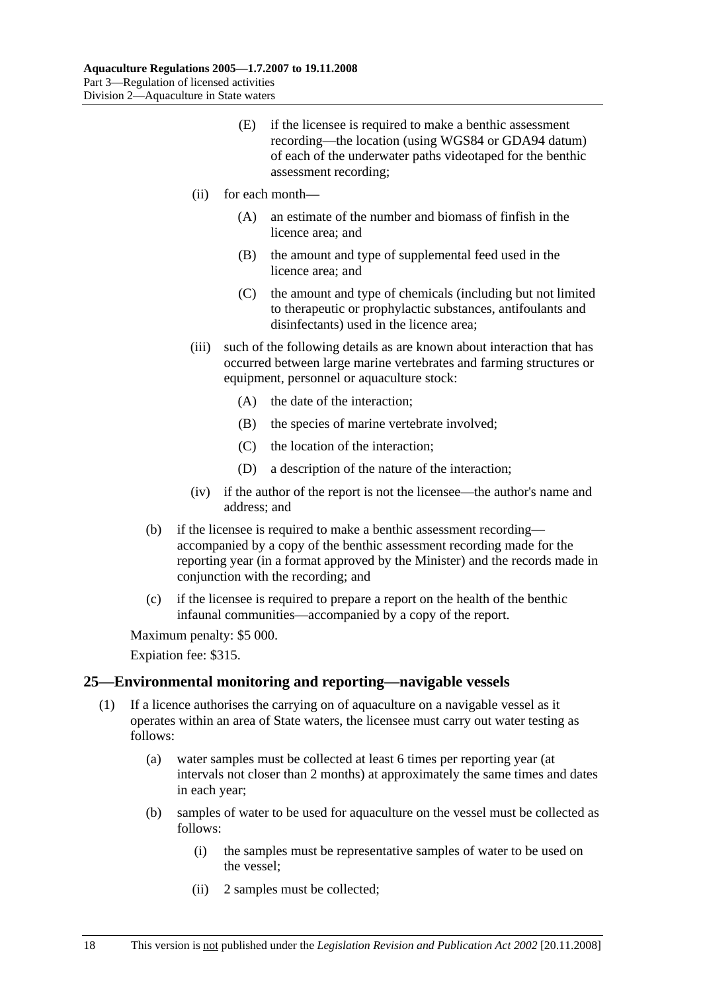- (E) if the licensee is required to make a benthic assessment recording—the location (using WGS84 or GDA94 datum) of each of the underwater paths videotaped for the benthic assessment recording;
- (ii) for each month—
	- (A) an estimate of the number and biomass of finfish in the licence area; and
	- (B) the amount and type of supplemental feed used in the licence area; and
	- (C) the amount and type of chemicals (including but not limited to therapeutic or prophylactic substances, antifoulants and disinfectants) used in the licence area;
- (iii) such of the following details as are known about interaction that has occurred between large marine vertebrates and farming structures or equipment, personnel or aquaculture stock:
	- (A) the date of the interaction;
	- (B) the species of marine vertebrate involved;
	- (C) the location of the interaction;
	- (D) a description of the nature of the interaction;
- (iv) if the author of the report is not the licensee—the author's name and address; and
- (b) if the licensee is required to make a benthic assessment recording accompanied by a copy of the benthic assessment recording made for the reporting year (in a format approved by the Minister) and the records made in conjunction with the recording; and
- (c) if the licensee is required to prepare a report on the health of the benthic infaunal communities—accompanied by a copy of the report.

Expiation fee: \$315.

#### **25—Environmental monitoring and reporting—navigable vessels**

- (1) If a licence authorises the carrying on of aquaculture on a navigable vessel as it operates within an area of State waters, the licensee must carry out water testing as follows:
	- (a) water samples must be collected at least 6 times per reporting year (at intervals not closer than 2 months) at approximately the same times and dates in each year;
	- (b) samples of water to be used for aquaculture on the vessel must be collected as follows:
		- (i) the samples must be representative samples of water to be used on the vessel;
		- (ii) 2 samples must be collected;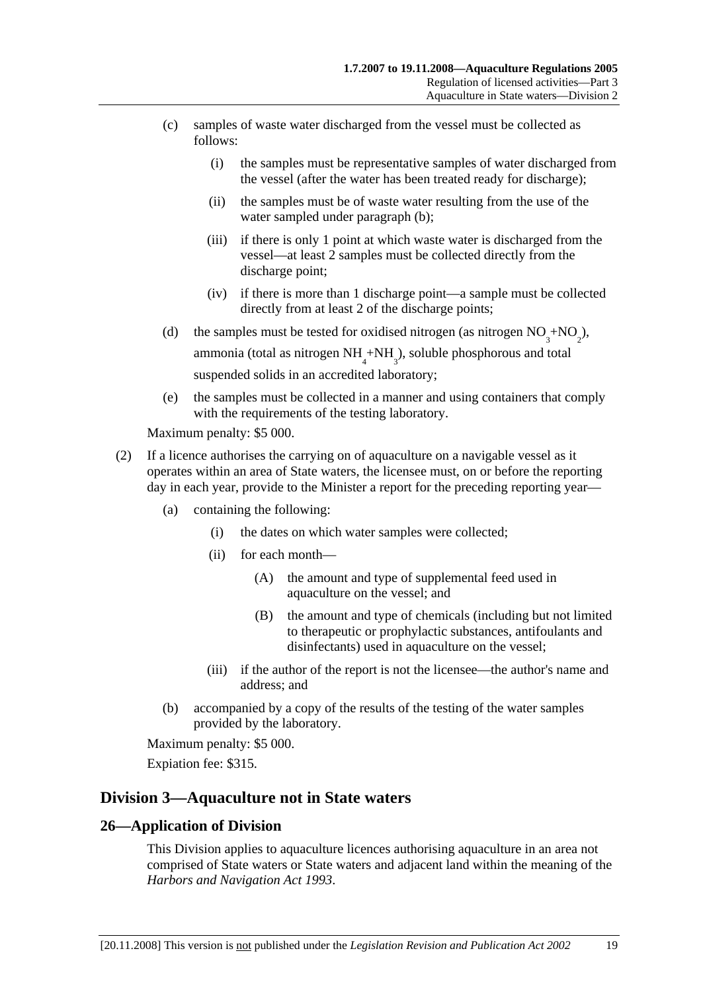- (c) samples of waste water discharged from the vessel must be collected as follows:
	- (i) the samples must be representative samples of water discharged from the vessel (after the water has been treated ready for discharge);
	- (ii) the samples must be of waste water resulting from the use of the water sampled under paragraph (b);
	- (iii) if there is only 1 point at which waste water is discharged from the vessel—at least 2 samples must be collected directly from the discharge point;
	- (iv) if there is more than 1 discharge point—a sample must be collected directly from at least 2 of the discharge points;
- (d) the samples must be tested for oxidised nitrogen (as nitrogen  $NO_3^+ NO_2^{\phantom{1}}$ ), ammonia (total as nitrogen  $NH<sub>4</sub>+NH<sub>3</sub>$ ), soluble phosphorous and total suspended solids in an accredited laboratory;
	- (e) the samples must be collected in a manner and using containers that comply with the requirements of the testing laboratory.

- (2) If a licence authorises the carrying on of aquaculture on a navigable vessel as it operates within an area of State waters, the licensee must, on or before the reporting day in each year, provide to the Minister a report for the preceding reporting year—
	- (a) containing the following:
		- (i) the dates on which water samples were collected;
		- (ii) for each month—
			- (A) the amount and type of supplemental feed used in aquaculture on the vessel; and
			- (B) the amount and type of chemicals (including but not limited to therapeutic or prophylactic substances, antifoulants and disinfectants) used in aquaculture on the vessel;
		- (iii) if the author of the report is not the licensee—the author's name and address; and
	- (b) accompanied by a copy of the results of the testing of the water samples provided by the laboratory.

Maximum penalty: \$5 000.

Expiation fee: \$315.

## **Division 3—Aquaculture not in State waters**

## **26—Application of Division**

This Division applies to aquaculture licences authorising aquaculture in an area not comprised of State waters or State waters and adjacent land within the meaning of the *Harbors and Navigation Act 1993*.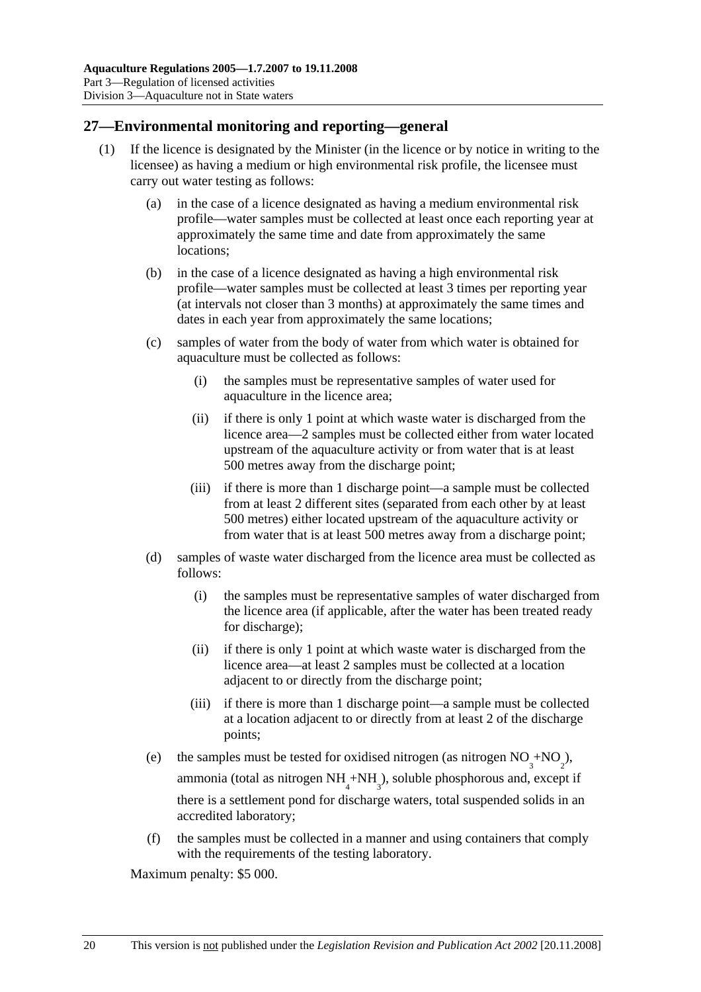## **27—Environmental monitoring and reporting—general**

- (1) If the licence is designated by the Minister (in the licence or by notice in writing to the licensee) as having a medium or high environmental risk profile, the licensee must carry out water testing as follows:
	- (a) in the case of a licence designated as having a medium environmental risk profile—water samples must be collected at least once each reporting year at approximately the same time and date from approximately the same locations;
	- (b) in the case of a licence designated as having a high environmental risk profile—water samples must be collected at least 3 times per reporting year (at intervals not closer than 3 months) at approximately the same times and dates in each year from approximately the same locations;
	- (c) samples of water from the body of water from which water is obtained for aquaculture must be collected as follows:
		- (i) the samples must be representative samples of water used for aquaculture in the licence area;
		- (ii) if there is only 1 point at which waste water is discharged from the licence area—2 samples must be collected either from water located upstream of the aquaculture activity or from water that is at least 500 metres away from the discharge point;
		- (iii) if there is more than 1 discharge point—a sample must be collected from at least 2 different sites (separated from each other by at least 500 metres) either located upstream of the aquaculture activity or from water that is at least 500 metres away from a discharge point;
	- (d) samples of waste water discharged from the licence area must be collected as follows:
		- (i) the samples must be representative samples of water discharged from the licence area (if applicable, after the water has been treated ready for discharge);
		- (ii) if there is only 1 point at which waste water is discharged from the licence area—at least 2 samples must be collected at a location adjacent to or directly from the discharge point;
		- (iii) if there is more than 1 discharge point—a sample must be collected at a location adjacent to or directly from at least 2 of the discharge points;
	- (e) the samples must be tested for oxidised nitrogen (as nitrogen  $NO_3^+ NO_2^{\phantom{1}}$ ), ammonia (total as nitrogen  $NH_4^+NH_3^$ ), soluble phosphorous and, except if there is a settlement pond for discharge waters, total suspended solids in an accredited laboratory;
		- (f) the samples must be collected in a manner and using containers that comply with the requirements of the testing laboratory.

Maximum penalty: \$5 000.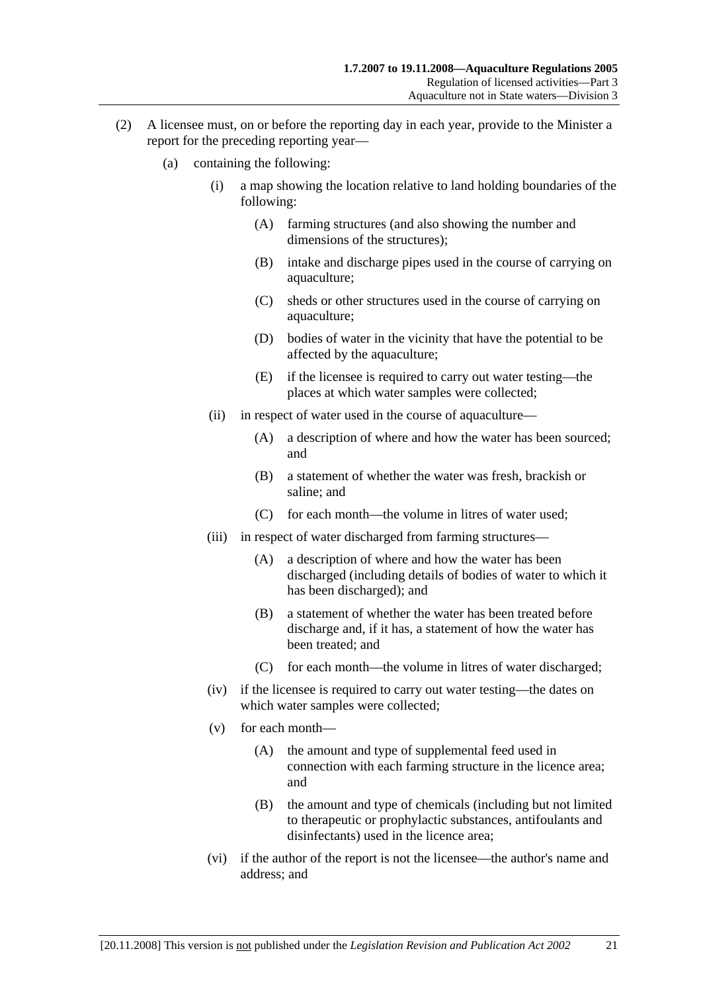- (2) A licensee must, on or before the reporting day in each year, provide to the Minister a report for the preceding reporting year—
	- (a) containing the following:
		- (i) a map showing the location relative to land holding boundaries of the following:
			- (A) farming structures (and also showing the number and dimensions of the structures);
			- (B) intake and discharge pipes used in the course of carrying on aquaculture;
			- (C) sheds or other structures used in the course of carrying on aquaculture;
			- (D) bodies of water in the vicinity that have the potential to be affected by the aquaculture;
			- (E) if the licensee is required to carry out water testing—the places at which water samples were collected;
		- (ii) in respect of water used in the course of aquaculture—
			- (A) a description of where and how the water has been sourced; and
			- (B) a statement of whether the water was fresh, brackish or saline; and
			- (C) for each month—the volume in litres of water used;
		- (iii) in respect of water discharged from farming structures—
			- (A) a description of where and how the water has been discharged (including details of bodies of water to which it has been discharged); and
			- (B) a statement of whether the water has been treated before discharge and, if it has, a statement of how the water has been treated; and
			- (C) for each month—the volume in litres of water discharged;
		- (iv) if the licensee is required to carry out water testing—the dates on which water samples were collected;
		- (v) for each month—
			- (A) the amount and type of supplemental feed used in connection with each farming structure in the licence area; and
			- (B) the amount and type of chemicals (including but not limited to therapeutic or prophylactic substances, antifoulants and disinfectants) used in the licence area;
		- (vi) if the author of the report is not the licensee—the author's name and address; and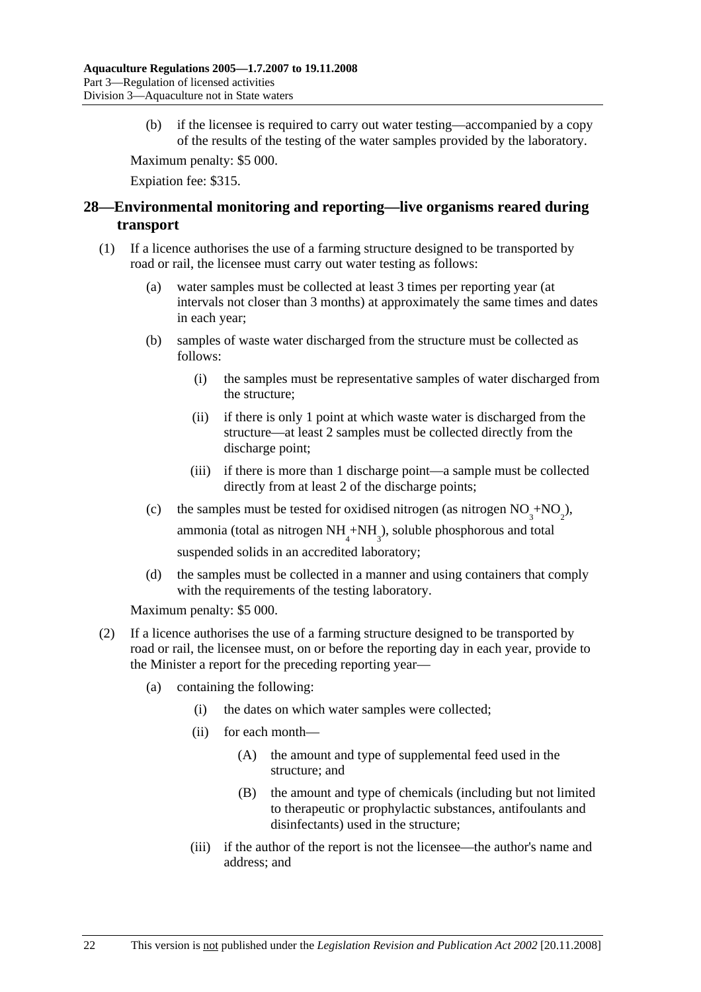(b) if the licensee is required to carry out water testing—accompanied by a copy of the results of the testing of the water samples provided by the laboratory.

Maximum penalty: \$5 000.

Expiation fee: \$315.

## **28—Environmental monitoring and reporting—live organisms reared during transport**

- (1) If a licence authorises the use of a farming structure designed to be transported by road or rail, the licensee must carry out water testing as follows:
	- (a) water samples must be collected at least 3 times per reporting year (at intervals not closer than 3 months) at approximately the same times and dates in each year;
	- (b) samples of waste water discharged from the structure must be collected as follows:
		- (i) the samples must be representative samples of water discharged from the structure;
		- (ii) if there is only 1 point at which waste water is discharged from the structure—at least 2 samples must be collected directly from the discharge point;
		- (iii) if there is more than 1 discharge point—a sample must be collected directly from at least 2 of the discharge points;
	- (c) the samples must be tested for oxidised nitrogen (as nitrogen  $NO_3^+ NO_2^{\phantom{1}}$ ),

ammonia (total as nitrogen  $NH<sub>4</sub>+NH<sub>3</sub>$ ), soluble phosphorous and total suspended solids in an accredited laboratory;

 (d) the samples must be collected in a manner and using containers that comply with the requirements of the testing laboratory.

Maximum penalty: \$5 000.

- (2) If a licence authorises the use of a farming structure designed to be transported by road or rail, the licensee must, on or before the reporting day in each year, provide to the Minister a report for the preceding reporting year—
	- (a) containing the following:
		- (i) the dates on which water samples were collected;
		- (ii) for each month—
			- (A) the amount and type of supplemental feed used in the structure; and
			- (B) the amount and type of chemicals (including but not limited to therapeutic or prophylactic substances, antifoulants and disinfectants) used in the structure;
		- (iii) if the author of the report is not the licensee—the author's name and address; and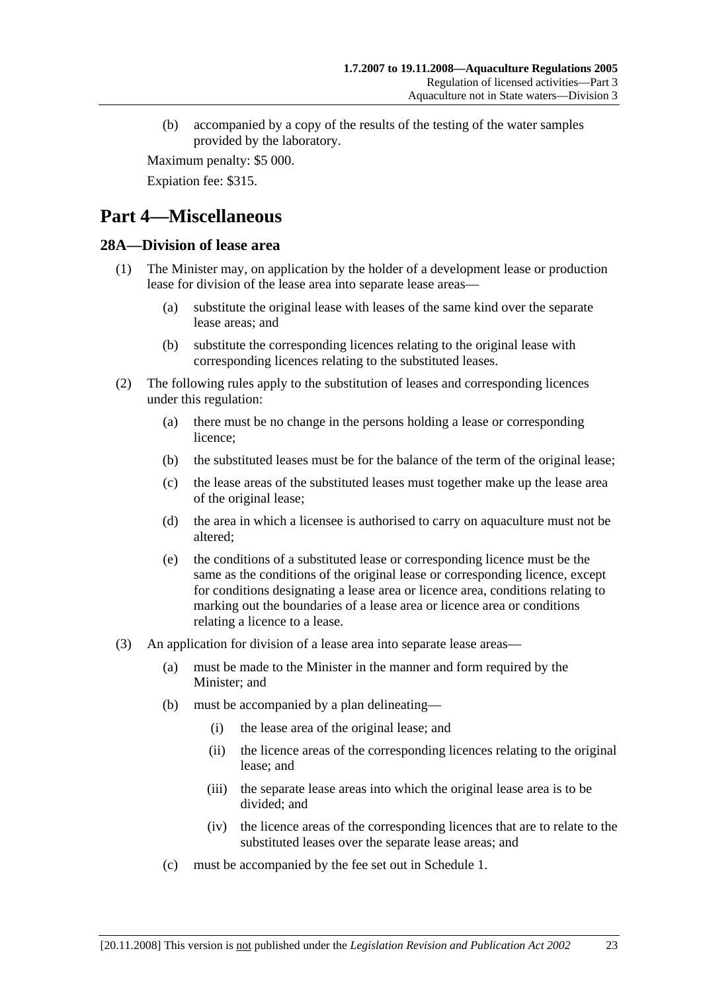(b) accompanied by a copy of the results of the testing of the water samples provided by the laboratory.

Maximum penalty: \$5 000.

Expiation fee: \$315.

# **Part 4—Miscellaneous**

### **28A—Division of lease area**

- (1) The Minister may, on application by the holder of a development lease or production lease for division of the lease area into separate lease areas—
	- (a) substitute the original lease with leases of the same kind over the separate lease areas; and
	- (b) substitute the corresponding licences relating to the original lease with corresponding licences relating to the substituted leases.
- (2) The following rules apply to the substitution of leases and corresponding licences under this regulation:
	- (a) there must be no change in the persons holding a lease or corresponding licence;
	- (b) the substituted leases must be for the balance of the term of the original lease;
	- (c) the lease areas of the substituted leases must together make up the lease area of the original lease;
	- (d) the area in which a licensee is authorised to carry on aquaculture must not be altered;
	- (e) the conditions of a substituted lease or corresponding licence must be the same as the conditions of the original lease or corresponding licence, except for conditions designating a lease area or licence area, conditions relating to marking out the boundaries of a lease area or licence area or conditions relating a licence to a lease.
- (3) An application for division of a lease area into separate lease areas—
	- (a) must be made to the Minister in the manner and form required by the Minister; and
	- (b) must be accompanied by a plan delineating—
		- (i) the lease area of the original lease; and
		- (ii) the licence areas of the corresponding licences relating to the original lease; and
		- (iii) the separate lease areas into which the original lease area is to be divided; and
		- (iv) the licence areas of the corresponding licences that are to relate to the substituted leases over the separate lease areas; and
	- (c) must be accompanied by the fee set out in Schedule 1.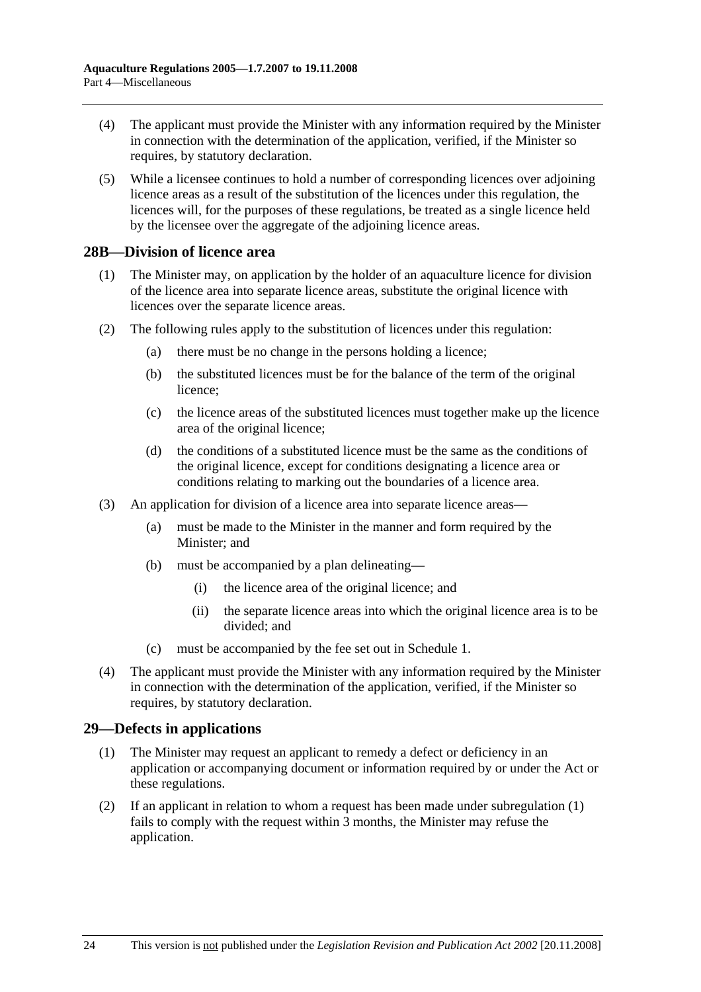- (4) The applicant must provide the Minister with any information required by the Minister in connection with the determination of the application, verified, if the Minister so requires, by statutory declaration.
- (5) While a licensee continues to hold a number of corresponding licences over adjoining licence areas as a result of the substitution of the licences under this regulation, the licences will, for the purposes of these regulations, be treated as a single licence held by the licensee over the aggregate of the adjoining licence areas.

### **28B—Division of licence area**

- (1) The Minister may, on application by the holder of an aquaculture licence for division of the licence area into separate licence areas, substitute the original licence with licences over the separate licence areas.
- (2) The following rules apply to the substitution of licences under this regulation:
	- (a) there must be no change in the persons holding a licence;
	- (b) the substituted licences must be for the balance of the term of the original licence;
	- (c) the licence areas of the substituted licences must together make up the licence area of the original licence;
	- (d) the conditions of a substituted licence must be the same as the conditions of the original licence, except for conditions designating a licence area or conditions relating to marking out the boundaries of a licence area.
- (3) An application for division of a licence area into separate licence areas—
	- (a) must be made to the Minister in the manner and form required by the Minister; and
	- (b) must be accompanied by a plan delineating—
		- (i) the licence area of the original licence; and
		- (ii) the separate licence areas into which the original licence area is to be divided; and
	- (c) must be accompanied by the fee set out in Schedule 1.
- (4) The applicant must provide the Minister with any information required by the Minister in connection with the determination of the application, verified, if the Minister so requires, by statutory declaration.

## **29—Defects in applications**

- (1) The Minister may request an applicant to remedy a defect or deficiency in an application or accompanying document or information required by or under the Act or these regulations.
- (2) If an applicant in relation to whom a request has been made under subregulation (1) fails to comply with the request within 3 months, the Minister may refuse the application.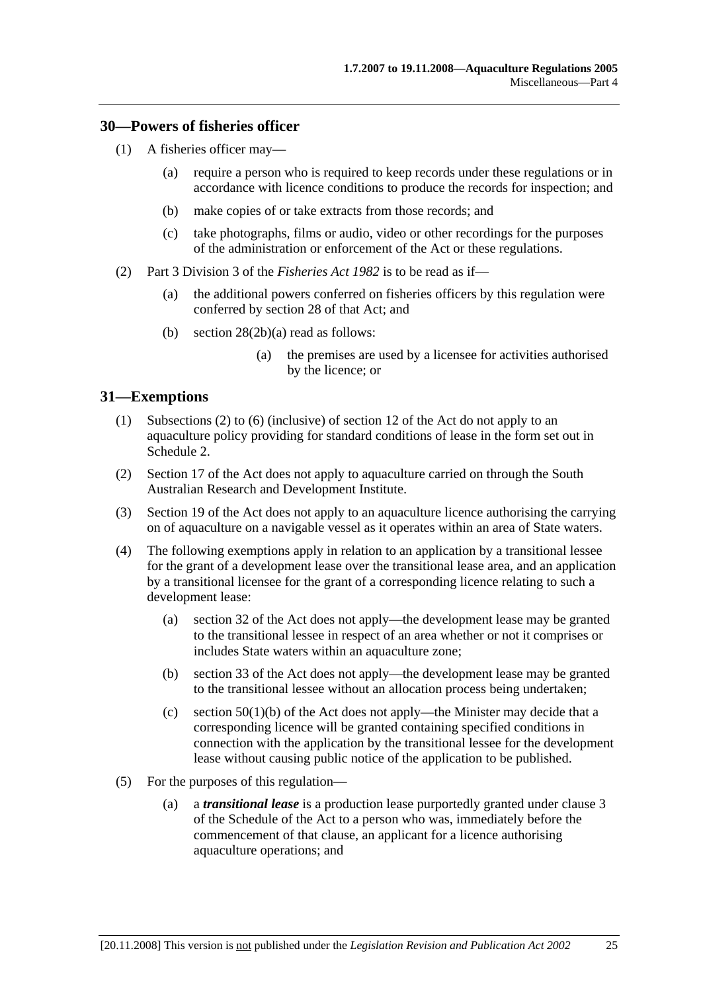#### **30—Powers of fisheries officer**

- (1) A fisheries officer may—
	- (a) require a person who is required to keep records under these regulations or in accordance with licence conditions to produce the records for inspection; and
	- (b) make copies of or take extracts from those records; and
	- (c) take photographs, films or audio, video or other recordings for the purposes of the administration or enforcement of the Act or these regulations.
- (2) Part 3 Division 3 of the *Fisheries Act 1982* is to be read as if—
	- (a) the additional powers conferred on fisheries officers by this regulation were conferred by section 28 of that Act; and
	- (b) section 28(2b)(a) read as follows:
		- (a) the premises are used by a licensee for activities authorised by the licence; or

### **31—Exemptions**

- (1) Subsections (2) to (6) (inclusive) of section 12 of the Act do not apply to an aquaculture policy providing for standard conditions of lease in the form set out in Schedule 2.
- (2) Section 17 of the Act does not apply to aquaculture carried on through the South Australian Research and Development Institute.
- (3) Section 19 of the Act does not apply to an aquaculture licence authorising the carrying on of aquaculture on a navigable vessel as it operates within an area of State waters.
- (4) The following exemptions apply in relation to an application by a transitional lessee for the grant of a development lease over the transitional lease area, and an application by a transitional licensee for the grant of a corresponding licence relating to such a development lease:
	- (a) section 32 of the Act does not apply—the development lease may be granted to the transitional lessee in respect of an area whether or not it comprises or includes State waters within an aquaculture zone;
	- (b) section 33 of the Act does not apply—the development lease may be granted to the transitional lessee without an allocation process being undertaken;
	- (c) section  $50(1)(b)$  of the Act does not apply—the Minister may decide that a corresponding licence will be granted containing specified conditions in connection with the application by the transitional lessee for the development lease without causing public notice of the application to be published.
- (5) For the purposes of this regulation—
	- (a) a *transitional lease* is a production lease purportedly granted under clause 3 of the Schedule of the Act to a person who was, immediately before the commencement of that clause, an applicant for a licence authorising aquaculture operations; and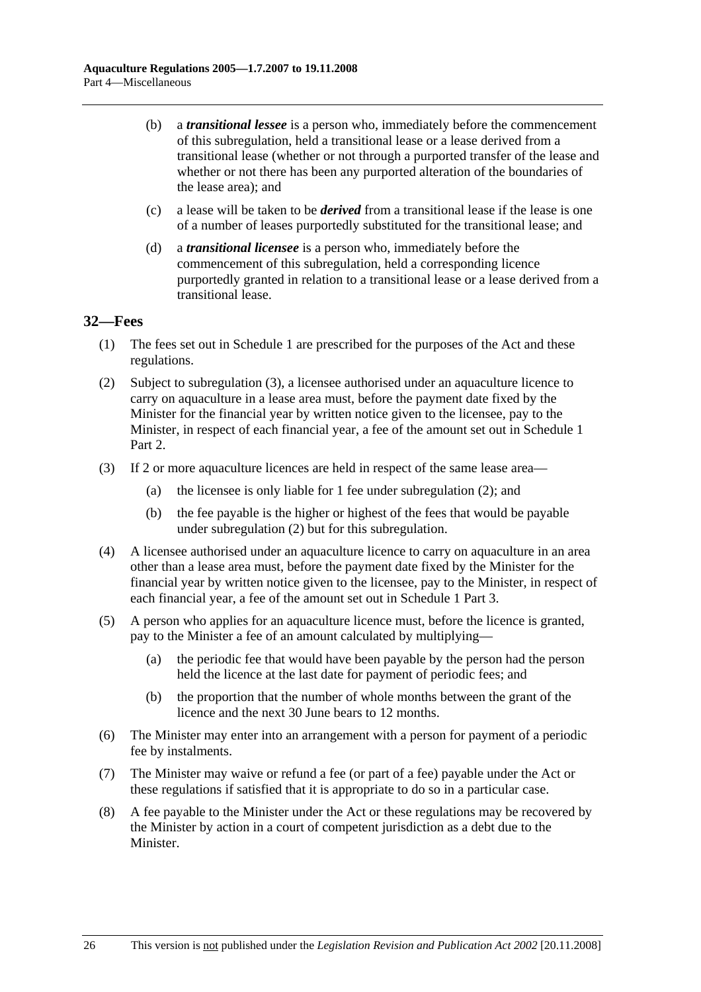- (b) a *transitional lessee* is a person who, immediately before the commencement of this subregulation, held a transitional lease or a lease derived from a transitional lease (whether or not through a purported transfer of the lease and whether or not there has been any purported alteration of the boundaries of the lease area); and
- (c) a lease will be taken to be *derived* from a transitional lease if the lease is one of a number of leases purportedly substituted for the transitional lease; and
- (d) a *transitional licensee* is a person who, immediately before the commencement of this subregulation, held a corresponding licence purportedly granted in relation to a transitional lease or a lease derived from a transitional lease.

### **32—Fees**

- (1) The fees set out in Schedule 1 are prescribed for the purposes of the Act and these regulations.
- (2) Subject to subregulation (3), a licensee authorised under an aquaculture licence to carry on aquaculture in a lease area must, before the payment date fixed by the Minister for the financial year by written notice given to the licensee, pay to the Minister, in respect of each financial year, a fee of the amount set out in Schedule 1 Part 2.
- (3) If 2 or more aquaculture licences are held in respect of the same lease area—
	- (a) the licensee is only liable for 1 fee under subregulation (2); and
	- (b) the fee payable is the higher or highest of the fees that would be payable under subregulation (2) but for this subregulation.
- (4) A licensee authorised under an aquaculture licence to carry on aquaculture in an area other than a lease area must, before the payment date fixed by the Minister for the financial year by written notice given to the licensee, pay to the Minister, in respect of each financial year, a fee of the amount set out in Schedule 1 Part 3.
- (5) A person who applies for an aquaculture licence must, before the licence is granted, pay to the Minister a fee of an amount calculated by multiplying—
	- (a) the periodic fee that would have been payable by the person had the person held the licence at the last date for payment of periodic fees; and
	- (b) the proportion that the number of whole months between the grant of the licence and the next 30 June bears to 12 months.
- (6) The Minister may enter into an arrangement with a person for payment of a periodic fee by instalments.
- (7) The Minister may waive or refund a fee (or part of a fee) payable under the Act or these regulations if satisfied that it is appropriate to do so in a particular case.
- (8) A fee payable to the Minister under the Act or these regulations may be recovered by the Minister by action in a court of competent jurisdiction as a debt due to the Minister.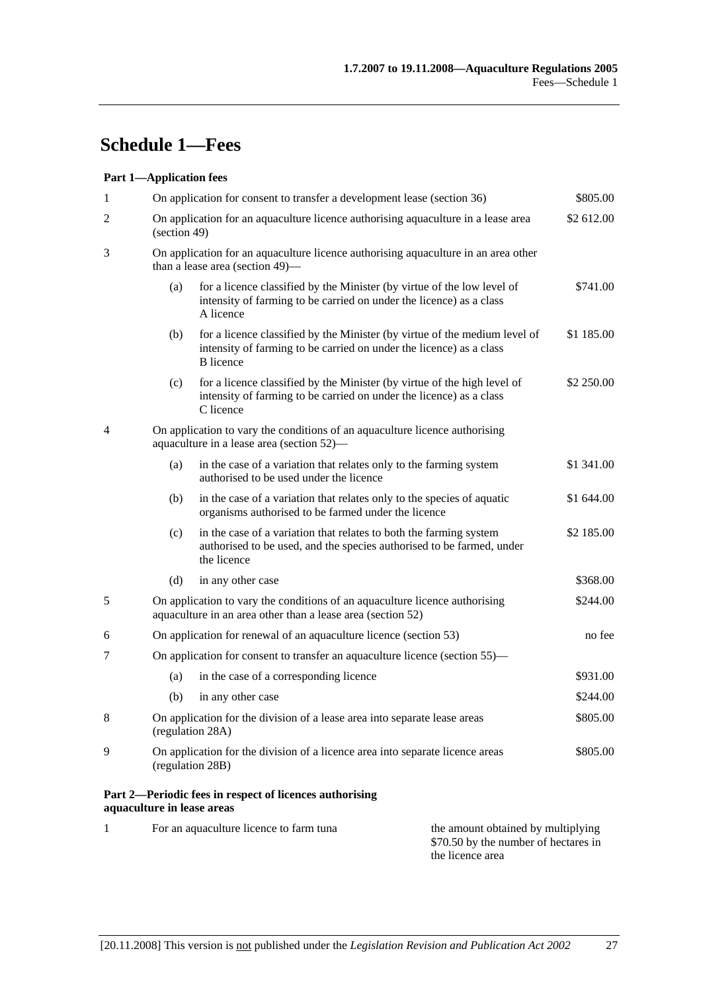# **Schedule 1—Fees**

#### **Part 1—Application fees**

| 1            |                            | On application for consent to transfer a development lease (section 36)                                                                                               |                                    | \$805.00   |  |
|--------------|----------------------------|-----------------------------------------------------------------------------------------------------------------------------------------------------------------------|------------------------------------|------------|--|
| 2            |                            | \$2 612.00<br>On application for an aquaculture licence authorising aquaculture in a lease area<br>(section 49)                                                       |                                    |            |  |
| 3            |                            | On application for an aquaculture licence authorising aquaculture in an area other<br>than a lease area (section 49)-                                                 |                                    |            |  |
|              | (a)                        | for a licence classified by the Minister (by virtue of the low level of<br>intensity of farming to be carried on under the licence) as a class<br>A licence           |                                    | \$741.00   |  |
|              | (b)                        | for a licence classified by the Minister (by virtue of the medium level of<br>intensity of farming to be carried on under the licence) as a class<br><b>B</b> licence |                                    | \$1 185.00 |  |
|              | (c)                        | for a licence classified by the Minister (by virtue of the high level of<br>intensity of farming to be carried on under the licence) as a class<br>C licence          |                                    | \$2 250.00 |  |
| 4            |                            | On application to vary the conditions of an aquaculture licence authorising<br>aquaculture in a lease area (section 52)—                                              |                                    |            |  |
|              | (a)                        | in the case of a variation that relates only to the farming system<br>authorised to be used under the licence                                                         |                                    | \$1 341.00 |  |
|              | (b)                        | in the case of a variation that relates only to the species of aquatic<br>organisms authorised to be farmed under the licence                                         |                                    | \$1 644.00 |  |
|              | (c)                        | in the case of a variation that relates to both the farming system<br>authorised to be used, and the species authorised to be farmed, under<br>the licence            |                                    | \$2 185.00 |  |
|              | (d)                        | in any other case                                                                                                                                                     |                                    | \$368.00   |  |
| 5            |                            | On application to vary the conditions of an aquaculture licence authorising<br>aquaculture in an area other than a lease area (section 52)                            |                                    | \$244.00   |  |
| 6            |                            | On application for renewal of an aquaculture licence (section 53)                                                                                                     |                                    | no fee     |  |
| 7            |                            | On application for consent to transfer an aquaculture licence (section 55)—                                                                                           |                                    |            |  |
|              | (a)                        | in the case of a corresponding licence                                                                                                                                |                                    | \$931.00   |  |
|              | (b)                        | in any other case                                                                                                                                                     |                                    | \$244.00   |  |
| 8            |                            | On application for the division of a lease area into separate lease areas<br>(regulation 28A)                                                                         |                                    | \$805.00   |  |
| 9            |                            | On application for the division of a licence area into separate licence areas<br>(regulation 28B)                                                                     |                                    | \$805.00   |  |
|              | aquaculture in lease areas | Part 2—Periodic fees in respect of licences authorising                                                                                                               |                                    |            |  |
| $\mathbf{1}$ |                            | For an aquaculture licence to farm tuna                                                                                                                               | the amount obtained by multiplying |            |  |

\$70.50 by the number of hectares in

the licence area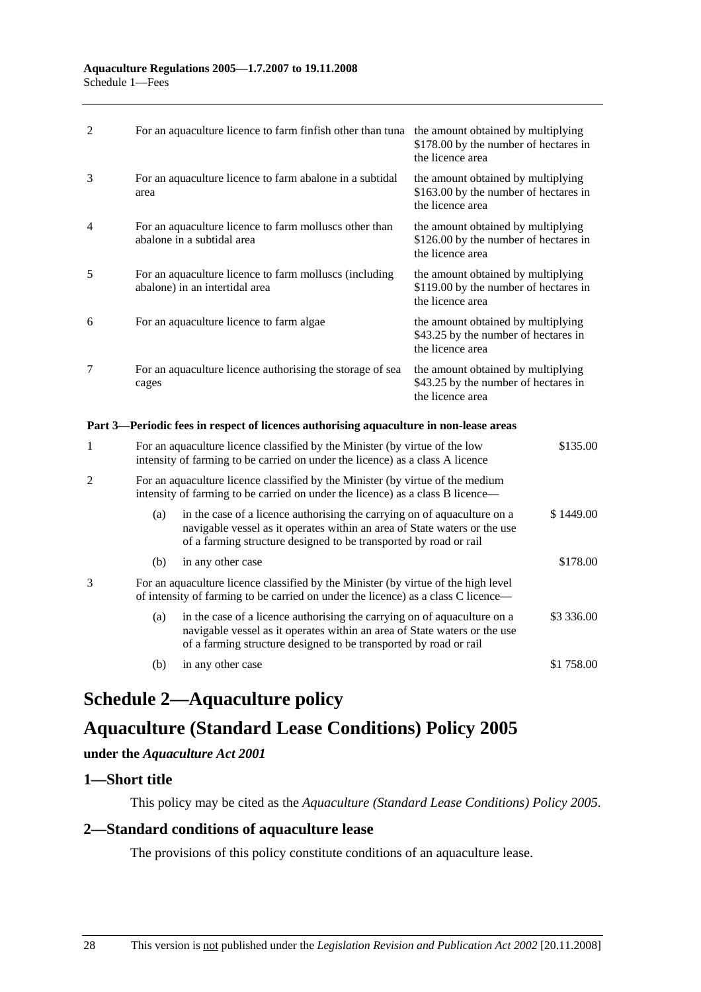| $\mathfrak{D}$ | For an aquaculture licence to farm finfish other than tuna                               | the amount obtained by multiplying<br>\$178.00 by the number of hectares in<br>the licence area |
|----------------|------------------------------------------------------------------------------------------|-------------------------------------------------------------------------------------------------|
| $\mathcal{F}$  | For an aquaculture licence to farm abalone in a subtidal<br>area                         | the amount obtained by multiplying<br>\$163.00 by the number of hectares in<br>the licence area |
| $\overline{4}$ | For an aquaculture licence to farm molluscs other than<br>abalone in a subtidal area     | the amount obtained by multiplying<br>\$126.00 by the number of hectares in<br>the licence area |
| 5              | For an aquaculture licence to farm molluscs (including<br>abalone) in an intertidal area | the amount obtained by multiplying<br>\$119.00 by the number of hectares in<br>the licence area |
| 6              | For an aquaculture licence to farm algae                                                 | the amount obtained by multiplying<br>\$43.25 by the number of hectares in<br>the licence area  |
| 7              | For an aquaculture licence authorising the storage of sea<br>cages                       | the amount obtained by multiplying<br>\$43.25 by the number of hectares in<br>the licence area  |

### **Part 3—Periodic fees in respect of licences authorising aquaculture in non-lease areas**

| 1 |                                                                                                                                                                         | For an aquaculture licence classified by the Minister (by virtue of the low<br>intensity of farming to be carried on under the licence) as a class A licence                                                               |            |
|---|-------------------------------------------------------------------------------------------------------------------------------------------------------------------------|----------------------------------------------------------------------------------------------------------------------------------------------------------------------------------------------------------------------------|------------|
| 2 |                                                                                                                                                                         | For an aquaculture licence classified by the Minister (by virtue of the medium<br>intensity of farming to be carried on under the licence) as a class B licence—                                                           |            |
|   | (a)                                                                                                                                                                     | in the case of a licence authorising the carrying on of aquaculture on a<br>navigable vessel as it operates within an area of State waters or the use<br>of a farming structure designed to be transported by road or rail | \$1449.00  |
|   | (b)                                                                                                                                                                     | in any other case                                                                                                                                                                                                          | \$178.00   |
| 3 | For an aquaculture licence classified by the Minister (by virtue of the high level<br>of intensity of farming to be carried on under the licence) as a class C licence— |                                                                                                                                                                                                                            |            |
|   | (a)                                                                                                                                                                     | in the case of a licence authorising the carrying on of aquaculture on a<br>navigable vessel as it operates within an area of State waters or the use<br>of a farming structure designed to be transported by road or rail | \$3 336.00 |
|   | (b)                                                                                                                                                                     | in any other case                                                                                                                                                                                                          | \$1 758.00 |

# **Schedule 2—Aquaculture policy**

## **Aquaculture (Standard Lease Conditions) Policy 2005**

#### **under the** *Aquaculture Act 2001*

#### **1—Short title**

This policy may be cited as the *Aquaculture (Standard Lease Conditions) Policy 2005*.

## **2—Standard conditions of aquaculture lease**

The provisions of this policy constitute conditions of an aquaculture lease.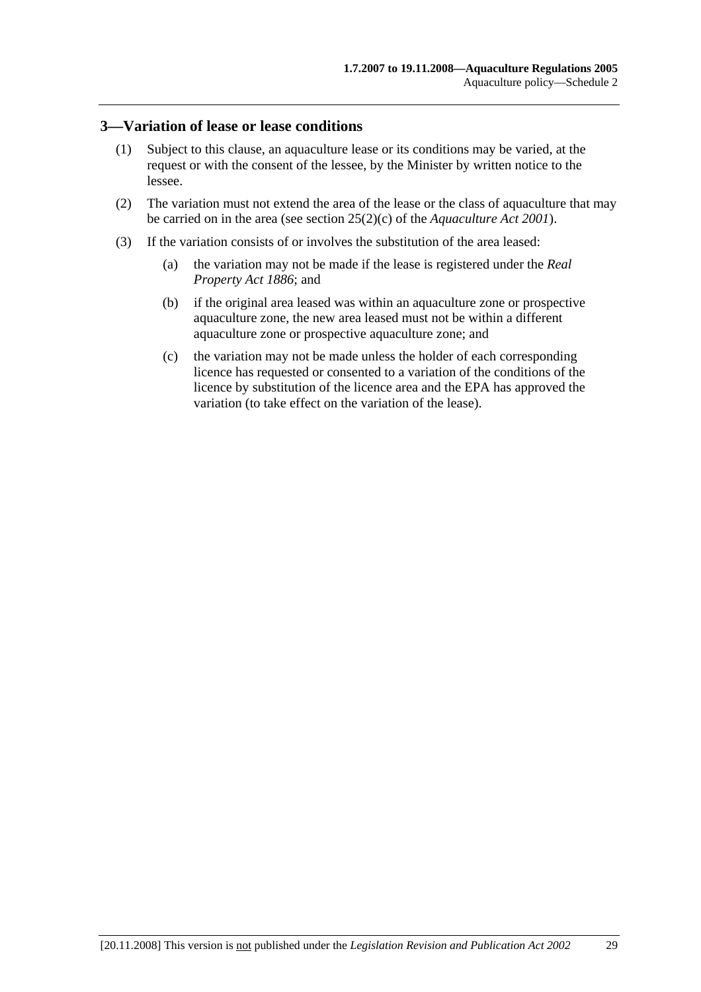#### **3—Variation of lease or lease conditions**

- (1) Subject to this clause, an aquaculture lease or its conditions may be varied, at the request or with the consent of the lessee, by the Minister by written notice to the lessee.
- (2) The variation must not extend the area of the lease or the class of aquaculture that may be carried on in the area (see section 25(2)(c) of the *Aquaculture Act 2001*).
- (3) If the variation consists of or involves the substitution of the area leased:
	- (a) the variation may not be made if the lease is registered under the *Real Property Act 1886*; and
	- (b) if the original area leased was within an aquaculture zone or prospective aquaculture zone, the new area leased must not be within a different aquaculture zone or prospective aquaculture zone; and
	- (c) the variation may not be made unless the holder of each corresponding licence has requested or consented to a variation of the conditions of the licence by substitution of the licence area and the EPA has approved the variation (to take effect on the variation of the lease).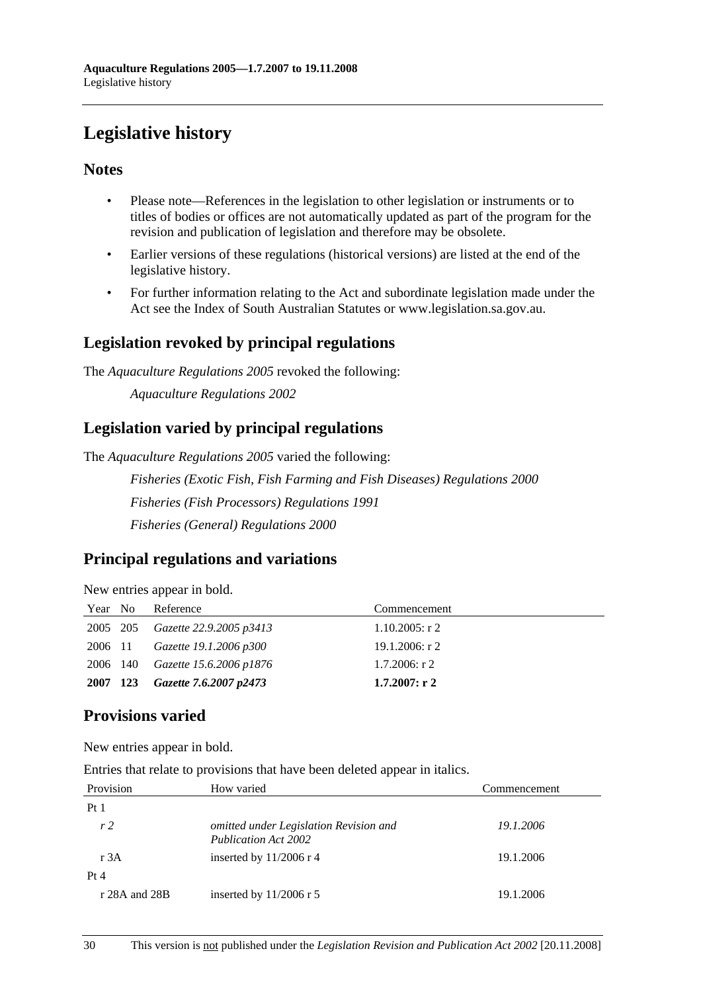# **Legislative history**

## **Notes**

- Please note—References in the legislation to other legislation or instruments or to titles of bodies or offices are not automatically updated as part of the program for the revision and publication of legislation and therefore may be obsolete.
- Earlier versions of these regulations (historical versions) are listed at the end of the legislative history.
- For further information relating to the Act and subordinate legislation made under the Act see the Index of South Australian Statutes or www.legislation.sa.gov.au.

## **Legislation revoked by principal regulations**

The *Aquaculture Regulations 2005* revoked the following:

*Aquaculture Regulations 2002*

## **Legislation varied by principal regulations**

The *Aquaculture Regulations 2005* varied the following:

*Fisheries (Exotic Fish, Fish Farming and Fish Diseases) Regulations 2000 Fisheries (Fish Processors) Regulations 1991 Fisheries (General) Regulations 2000*

## **Principal regulations and variations**

New entries appear in bold.

| Year No | Reference                               | Commencement      |
|---------|-----------------------------------------|-------------------|
|         | 2005 205 <i>Gazette</i> 22.9.2005 p3413 | $1.10.2005$ : r 2 |
| 2006 11 | Gazette 19.1.2006 p300                  | 19.1.2006: r 2    |
|         | 2006 140 <i>Gazette 15.6.2006 p1876</i> | $1.7.2006$ : r 2  |
|         | 2007 123 Gazette 7.6.2007 p2473         | $1.7.2007:$ r 2   |

## **Provisions varied**

New entries appear in bold.

Entries that relate to provisions that have been deleted appear in italics.

| Provision      | How varied                                                            | Commencement |
|----------------|-----------------------------------------------------------------------|--------------|
| Pt1            |                                                                       |              |
| r <sub>2</sub> | omitted under Legislation Revision and<br><b>Publication Act 2002</b> | 19.1.2006    |
| r $3A$         | inserted by $11/2006$ r 4                                             | 19.1.2006    |
| Pt 4           |                                                                       |              |
| r 28A and 28B  | inserted by $11/2006$ r 5                                             | 19.1.2006    |